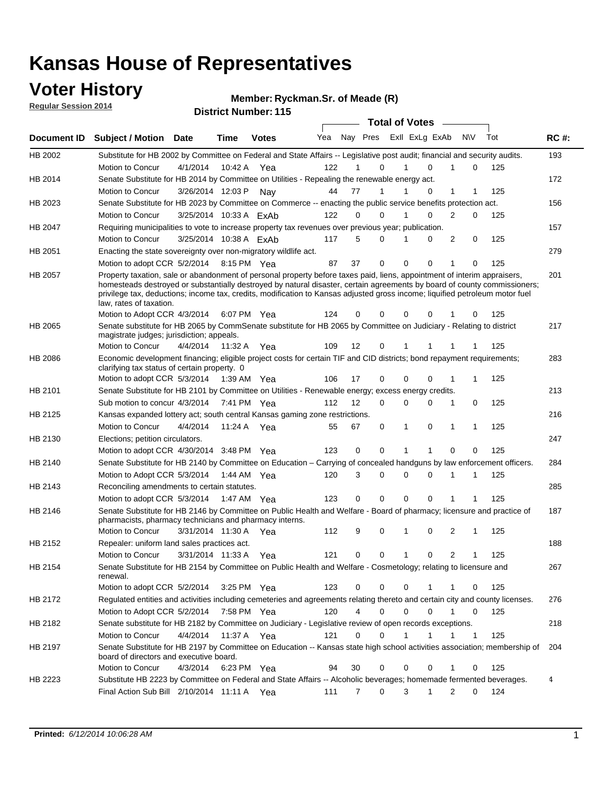### **Voter History**

**Regular Session 2014**

#### **Ryckman.Sr. of Meade (R)**

|             |                                                                                                                                                                                                                                                                                                                                                                                                                  |                        |             | <b>DISUILLINUIIIDEL.</b> I IJ | <b>Total of Votes</b> |                   |        |  |                         |              |              |     |             |
|-------------|------------------------------------------------------------------------------------------------------------------------------------------------------------------------------------------------------------------------------------------------------------------------------------------------------------------------------------------------------------------------------------------------------------------|------------------------|-------------|-------------------------------|-----------------------|-------------------|--------|--|-------------------------|--------------|--------------|-----|-------------|
| Document ID | <b>Subject / Motion Date</b>                                                                                                                                                                                                                                                                                                                                                                                     |                        | <b>Time</b> | <b>Votes</b>                  | Yea                   |                   |        |  | Nay Pres Exll ExLg ExAb |              | <b>NV</b>    | Tot | <b>RC#:</b> |
| HB 2002     | Substitute for HB 2002 by Committee on Federal and State Affairs -- Legislative post audit; financial and security audits.                                                                                                                                                                                                                                                                                       |                        |             |                               |                       |                   |        |  |                         |              |              |     | 193         |
|             | Motion to Concur                                                                                                                                                                                                                                                                                                                                                                                                 | 4/1/2014               | 10:42 A     | Yea                           | 122                   |                   | 0      |  | $\Omega$                |              | 0            | 125 |             |
| HB 2014     | Senate Substitute for HB 2014 by Committee on Utilities - Repealing the renewable energy act.                                                                                                                                                                                                                                                                                                                    |                        |             |                               |                       |                   |        |  |                         |              |              |     | 172         |
|             | Motion to Concur                                                                                                                                                                                                                                                                                                                                                                                                 | 3/26/2014 12:03 P      |             | Nav                           | 44                    | 77                | 1      |  | 0                       | 1            | 1            | 125 |             |
| HB 2023     | Senate Substitute for HB 2023 by Committee on Commerce -- enacting the public service benefits protection act.                                                                                                                                                                                                                                                                                                   |                        |             |                               |                       |                   |        |  |                         |              |              |     | 156         |
|             | Motion to Concur                                                                                                                                                                                                                                                                                                                                                                                                 | 3/25/2014 10:33 A ExAb |             |                               | 122                   | $\Omega$          | 0      |  | $\Omega$                | 2            | 0            | 125 |             |
| HB 2047     | Requiring municipalities to vote to increase property tax revenues over previous year; publication.                                                                                                                                                                                                                                                                                                              |                        |             |                               |                       |                   |        |  |                         |              |              |     | 157         |
|             | Motion to Concur                                                                                                                                                                                                                                                                                                                                                                                                 | 3/25/2014 10:38 A ExAb |             |                               | 117                   | 5                 | 0      |  | 0                       | 2            | 0            | 125 |             |
| HB 2051     | Enacting the state sovereignty over non-migratory wildlife act.                                                                                                                                                                                                                                                                                                                                                  |                        |             |                               |                       |                   |        |  |                         |              |              |     | 279         |
|             | Motion to adopt CCR 5/2/2014 8:15 PM Yea                                                                                                                                                                                                                                                                                                                                                                         |                        |             |                               | 87                    | 37                | 0      |  | 0<br>0                  | -1           | 0            | 125 |             |
| HB 2057     | Property taxation, sale or abandonment of personal property before taxes paid, liens, appointment of interim appraisers,<br>homesteads destroyed or substantially destroyed by natural disaster, certain agreements by board of county commissioners;<br>privilege tax, deductions; income tax, credits, modification to Kansas adjusted gross income; liquified petroleum motor fuel<br>law, rates of taxation. |                        |             |                               |                       |                   |        |  |                         |              |              |     | 201         |
|             | Motion to Adopt CCR 4/3/2014                                                                                                                                                                                                                                                                                                                                                                                     |                        |             | 6:07 PM Yea                   | 124                   | 0                 | 0      |  | 0<br>0                  |              | 0            | 125 |             |
| HB 2065     | Senate substitute for HB 2065 by CommSenate substitute for HB 2065 by Committee on Judiciary - Relating to district<br>magistrate judges; jurisdiction; appeals.                                                                                                                                                                                                                                                 |                        |             |                               |                       |                   |        |  |                         |              |              |     | 217         |
|             | Motion to Concur                                                                                                                                                                                                                                                                                                                                                                                                 | 4/4/2014               | 11:32 A     | Yea                           | 109                   | 12                | 0      |  | 1<br>1                  | 1            |              | 125 |             |
| HB 2086     | Economic development financing; eligible project costs for certain TIF and CID districts; bond repayment requirements;<br>clarifying tax status of certain property. 0                                                                                                                                                                                                                                           |                        |             |                               |                       |                   |        |  |                         |              |              |     | 283         |
|             | Motion to adopt CCR 5/3/2014                                                                                                                                                                                                                                                                                                                                                                                     |                        | 1:39 AM Yea |                               | 106                   | 17                | 0      |  | 0<br>$\Omega$           | 1            | 1            | 125 |             |
| HB 2101     | Senate Substitute for HB 2101 by Committee on Utilities - Renewable energy; excess energy credits.                                                                                                                                                                                                                                                                                                               |                        |             |                               |                       |                   |        |  |                         |              |              |     | 213         |
|             | Sub motion to concur 4/3/2014                                                                                                                                                                                                                                                                                                                                                                                    |                        |             | 7:41 PM Yea                   | 112                   | $12 \overline{ }$ | 0      |  | 0<br>$\mathbf 0$        | $\mathbf{1}$ | 0            | 125 |             |
| HB 2125     | Kansas expanded lottery act; south central Kansas gaming zone restrictions.                                                                                                                                                                                                                                                                                                                                      |                        |             |                               |                       |                   |        |  |                         |              |              |     | 216         |
|             | Motion to Concur                                                                                                                                                                                                                                                                                                                                                                                                 | 4/4/2014               | 11:24 A     | Yea                           | 55                    | 67                | 0      |  | 1<br>0                  | $\mathbf{1}$ | $\mathbf{1}$ | 125 |             |
| HB 2130     | Elections; petition circulators.                                                                                                                                                                                                                                                                                                                                                                                 |                        |             |                               |                       |                   |        |  |                         |              |              |     | 247         |
|             | Motion to adopt CCR 4/30/2014 3:48 PM Yea                                                                                                                                                                                                                                                                                                                                                                        |                        |             |                               | 123                   | 0                 | 0      |  | 1                       | 0            | 0            | 125 |             |
| HB 2140     | Senate Substitute for HB 2140 by Committee on Education – Carrying of concealed handguns by law enforcement officers.                                                                                                                                                                                                                                                                                            |                        |             |                               |                       |                   |        |  |                         |              |              |     | 284         |
|             | Motion to Adopt CCR 5/3/2014                                                                                                                                                                                                                                                                                                                                                                                     |                        |             | 1:44 AM Yea                   | 120                   | 3                 | 0      |  | 0<br>0                  | -1           | 1            | 125 |             |
| HB 2143     | Reconciling amendments to certain statutes.                                                                                                                                                                                                                                                                                                                                                                      |                        |             |                               |                       |                   |        |  |                         |              |              |     | 285         |
|             | Motion to adopt CCR 5/3/2014                                                                                                                                                                                                                                                                                                                                                                                     |                        | 1:47 AM Yea |                               | 123                   | 0                 | 0      |  | 0<br>0                  | 1            | 1            | 125 |             |
| HB 2146     | Senate Substitute for HB 2146 by Committee on Public Health and Welfare - Board of pharmacy; licensure and practice of<br>pharmacists, pharmacy technicians and pharmacy interns.                                                                                                                                                                                                                                |                        |             |                               |                       |                   |        |  |                         |              |              |     | 187         |
|             | Motion to Concur                                                                                                                                                                                                                                                                                                                                                                                                 | 3/31/2014 11:30 A      |             | Yea                           | 112                   | 9                 | 0      |  | 0<br>1                  | 2            | 1            | 125 |             |
| HB 2152     | Repealer: uniform land sales practices act.                                                                                                                                                                                                                                                                                                                                                                      |                        |             |                               |                       |                   |        |  |                         |              |              |     | 188         |
|             | Motion to Concur                                                                                                                                                                                                                                                                                                                                                                                                 | 3/31/2014 11:33 A      |             | Yea                           | 121                   | 0                 | 0      |  | 1<br>0                  | 2            | 1            | 125 |             |
| HB 2154     | Senate Substitute for HB 2154 by Committee on Public Health and Welfare - Cosmetology; relating to licensure and<br>renewal.                                                                                                                                                                                                                                                                                     |                        |             |                               |                       |                   |        |  |                         |              |              |     | 267         |
|             | Motion to adopt CCR 5/2/2014 3:25 PM Yea                                                                                                                                                                                                                                                                                                                                                                         |                        |             |                               | 123                   | 0                 | 0      |  | 0<br>1                  | -1           | 0            | 125 |             |
| HB 2172     | Regulated entities and activities including cemeteries and agreements relating thereto and certain city and county licenses.                                                                                                                                                                                                                                                                                     |                        |             |                               |                       |                   |        |  |                         |              |              |     | 276         |
|             | Motion to Adopt CCR 5/2/2014                                                                                                                                                                                                                                                                                                                                                                                     |                        |             | 7:58 PM Yea                   | 120                   |                   | 4<br>0 |  | 0<br>$\Omega$           | $\mathbf{1}$ | 0            | 125 |             |
| HB 2182     | Senate substitute for HB 2182 by Committee on Judiciary - Legislative review of open records exceptions.                                                                                                                                                                                                                                                                                                         |                        |             |                               |                       |                   |        |  |                         |              |              |     | 218         |
|             | Motion to Concur                                                                                                                                                                                                                                                                                                                                                                                                 | 4/4/2014 11:37 A Yea   |             |                               | 121                   | 0                 | 0      |  | 1<br>1                  | $\mathbf{1}$ | $\mathbf{1}$ | 125 |             |
| HB 2197     | Senate Substitute for HB 2197 by Committee on Education -- Kansas state high school activities association; membership of<br>board of directors and executive board.                                                                                                                                                                                                                                             |                        |             |                               |                       |                   |        |  |                         |              |              |     | 204         |
|             | Motion to Concur                                                                                                                                                                                                                                                                                                                                                                                                 | 4/3/2014               |             | 6:23 PM Yea                   | 94                    | 30                | 0      |  | 0<br>0                  | 1            | 0            | 125 |             |
| HB 2223     | Substitute HB 2223 by Committee on Federal and State Affairs -- Alcoholic beverages; homemade fermented beverages.                                                                                                                                                                                                                                                                                               |                        |             |                               |                       |                   |        |  |                         |              |              |     | 4           |
|             | Final Action Sub Bill 2/10/2014 11:11 A Yea                                                                                                                                                                                                                                                                                                                                                                      |                        |             |                               | 111                   | 7                 | 0      |  | 3<br>1                  | 2            | 0            | 124 |             |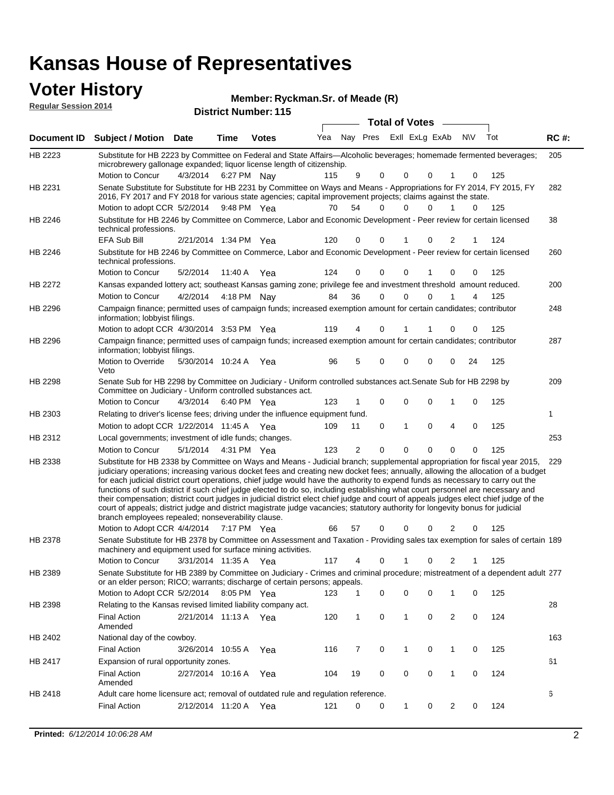### **Voter History**

**Regular Session 2014**

**Ryckman.Sr. of Meade (R)**

| דושב ווטופסטט ואוואפטור |                                                                                                                                                                                                                                                                                                                                                                                                                                                                                                                                                                                                                                                                                                                                                                                                                                                                                                                 |                       |             | <b>District Number: 115</b> |     |          |          |                         |                |           |     |             |
|-------------------------|-----------------------------------------------------------------------------------------------------------------------------------------------------------------------------------------------------------------------------------------------------------------------------------------------------------------------------------------------------------------------------------------------------------------------------------------------------------------------------------------------------------------------------------------------------------------------------------------------------------------------------------------------------------------------------------------------------------------------------------------------------------------------------------------------------------------------------------------------------------------------------------------------------------------|-----------------------|-------------|-----------------------------|-----|----------|----------|-------------------------|----------------|-----------|-----|-------------|
|                         |                                                                                                                                                                                                                                                                                                                                                                                                                                                                                                                                                                                                                                                                                                                                                                                                                                                                                                                 |                       |             |                             |     |          |          | <b>Total of Votes</b>   |                |           |     |             |
| Document ID             | <b>Subject / Motion Date</b>                                                                                                                                                                                                                                                                                                                                                                                                                                                                                                                                                                                                                                                                                                                                                                                                                                                                                    |                       | <b>Time</b> | <b>Votes</b>                | Yea | Nay Pres |          | Exll ExLg ExAb          |                | <b>NV</b> | Tot | <b>RC#:</b> |
| HB 2223                 | Substitute for HB 2223 by Committee on Federal and State Affairs—Alcoholic beverages; homemade fermented beverages;<br>microbrewery gallonage expanded; liquor license length of citizenship.                                                                                                                                                                                                                                                                                                                                                                                                                                                                                                                                                                                                                                                                                                                   |                       |             |                             |     |          |          |                         |                |           |     | 205         |
| HB 2231                 | Motion to Concur<br>Senate Substitute for Substitute for HB 2231 by Committee on Ways and Means - Appropriations for FY 2014, FY 2015, FY                                                                                                                                                                                                                                                                                                                                                                                                                                                                                                                                                                                                                                                                                                                                                                       | 4/3/2014 6:27 PM Nay  |             |                             | 115 | 9        | 0        | 0<br>0                  |                | 0         | 125 | 282         |
|                         | 2016, FY 2017 and FY 2018 for various state agencies; capital improvement projects; claims against the state.<br>Motion to adopt CCR 5/2/2014 9:48 PM Yea                                                                                                                                                                                                                                                                                                                                                                                                                                                                                                                                                                                                                                                                                                                                                       |                       |             |                             | 70  | 54       | $\Omega$ | 0<br>0                  | 1              | 0         | 125 |             |
| HB 2246                 | Substitute for HB 2246 by Committee on Commerce, Labor and Economic Development - Peer review for certain licensed<br>technical professions.                                                                                                                                                                                                                                                                                                                                                                                                                                                                                                                                                                                                                                                                                                                                                                    |                       |             |                             |     |          |          |                         |                |           |     | 38          |
| HB 2246                 | <b>EFA Sub Bill</b><br>Substitute for HB 2246 by Committee on Commerce, Labor and Economic Development - Peer review for certain licensed                                                                                                                                                                                                                                                                                                                                                                                                                                                                                                                                                                                                                                                                                                                                                                       | 2/21/2014 1:34 PM Yea |             |                             | 120 | 0        | 0        | 0                       | 2              | 1         | 124 | 260         |
|                         | technical professions.<br>Motion to Concur                                                                                                                                                                                                                                                                                                                                                                                                                                                                                                                                                                                                                                                                                                                                                                                                                                                                      | 5/2/2014              |             | 11:40 A Yea                 | 124 | 0        | 0        | 0                       | 0              | 0         | 125 |             |
| HB 2272                 | Kansas expanded lottery act; southeast Kansas gaming zone; privilege fee and investment threshold amount reduced.                                                                                                                                                                                                                                                                                                                                                                                                                                                                                                                                                                                                                                                                                                                                                                                               |                       |             |                             |     |          |          |                         |                |           |     | 200         |
| HB 2296                 | Motion to Concur<br>Campaign finance; permitted uses of campaign funds; increased exemption amount for certain candidates; contributor<br>information; lobbyist filings.                                                                                                                                                                                                                                                                                                                                                                                                                                                                                                                                                                                                                                                                                                                                        | 4/2/2014              |             | 4:18 PM Nay                 | 84  | 36       | 0        | $\Omega$<br>0           |                | 4         | 125 | 248         |
|                         | Motion to adopt CCR 4/30/2014 3:53 PM Yea                                                                                                                                                                                                                                                                                                                                                                                                                                                                                                                                                                                                                                                                                                                                                                                                                                                                       |                       |             |                             | 119 | 4        | 0        | 1<br>1                  | 0              | 0         | 125 |             |
| HB 2296                 | Campaign finance; permitted uses of campaign funds; increased exemption amount for certain candidates; contributor<br>information; lobbyist filings.<br>Motion to Override                                                                                                                                                                                                                                                                                                                                                                                                                                                                                                                                                                                                                                                                                                                                      | 5/30/2014 10:24 A     |             | Yea                         | 96  | 5        | 0        | 0<br>0                  | 0              | 24        | 125 | 287         |
|                         | Veto                                                                                                                                                                                                                                                                                                                                                                                                                                                                                                                                                                                                                                                                                                                                                                                                                                                                                                            |                       |             |                             |     |          |          |                         |                |           |     |             |
| HB 2298                 | Senate Sub for HB 2298 by Committee on Judiciary - Uniform controlled substances act. Senate Sub for HB 2298 by<br>Committee on Judiciary - Uniform controlled substances act.<br>Motion to Concur                                                                                                                                                                                                                                                                                                                                                                                                                                                                                                                                                                                                                                                                                                              | 4/3/2014              |             | 6:40 PM Yea                 | 123 |          | 0        | $\mathbf 0$<br>$\Omega$ | 1              | 0         | 125 | 209         |
| HB 2303                 | Relating to driver's license fees; driving under the influence equipment fund.                                                                                                                                                                                                                                                                                                                                                                                                                                                                                                                                                                                                                                                                                                                                                                                                                                  |                       |             |                             |     |          |          |                         |                |           |     | 1           |
|                         | Motion to adopt CCR 1/22/2014 11:45 A Yea                                                                                                                                                                                                                                                                                                                                                                                                                                                                                                                                                                                                                                                                                                                                                                                                                                                                       |                       |             |                             | 109 | 11       | 0        | 1<br>$\Omega$           | 4              | 0         | 125 |             |
| HB 2312                 | Local governments; investment of idle funds; changes.                                                                                                                                                                                                                                                                                                                                                                                                                                                                                                                                                                                                                                                                                                                                                                                                                                                           |                       |             |                             |     |          |          |                         |                |           |     | 253         |
|                         | Motion to Concur                                                                                                                                                                                                                                                                                                                                                                                                                                                                                                                                                                                                                                                                                                                                                                                                                                                                                                | 5/1/2014              |             | 4:31 PM Yea                 | 123 | 2        | $\Omega$ | $\Omega$<br>$\Omega$    | 0              | 0         | 125 |             |
| HB 2338                 | Substitute for HB 2338 by Committee on Ways and Means - Judicial branch; supplemental appropriation for fiscal year 2015,<br>judiciary operations; increasing various docket fees and creating new docket fees; annually, allowing the allocation of a budget<br>for each judicial district court operations, chief judge would have the authority to expend funds as necessary to carry out the<br>functions of such district if such chief judge elected to do so, including establishing what court personnel are necessary and<br>their compensation; district court judges in judicial district elect chief judge and court of appeals judges elect chief judge of the<br>court of appeals; district judge and district magistrate judge vacancies; statutory authority for longevity bonus for judicial<br>branch employees repealed; nonseverability clause.<br>Motion to Adopt CCR 4/4/2014 7:17 PM Yea |                       |             |                             | 66  | 57       | 0        | 0<br>0                  | 2              | 0         | 125 | 229         |
| HB 2378                 | Senate Substitute for HB 2378 by Committee on Assessment and Taxation - Providing sales tax exemption for sales of certain 189<br>machinery and equipment used for surface mining activities.                                                                                                                                                                                                                                                                                                                                                                                                                                                                                                                                                                                                                                                                                                                   |                       |             |                             |     |          |          |                         |                |           |     |             |
|                         | Motion to Concur                                                                                                                                                                                                                                                                                                                                                                                                                                                                                                                                                                                                                                                                                                                                                                                                                                                                                                | 3/31/2014 11:35 A     |             | Yea                         | 117 | 4        | 0        | $\mathbf{1}$<br>0       | 2              |           | 125 |             |
| HB 2389                 | Senate Substitute for HB 2389 by Committee on Judiciary - Crimes and criminal procedure; mistreatment of a dependent adult 277<br>or an elder person; RICO; warrants; discharge of certain persons; appeals.<br>Motion to Adopt CCR 5/2/2014 8:05 PM Yea                                                                                                                                                                                                                                                                                                                                                                                                                                                                                                                                                                                                                                                        |                       |             |                             | 123 |          | 0        | 0<br>0                  | 1              | 0         | 125 |             |
| HB 2398                 | Relating to the Kansas revised limited liability company act.                                                                                                                                                                                                                                                                                                                                                                                                                                                                                                                                                                                                                                                                                                                                                                                                                                                   |                       |             |                             |     |          |          |                         |                |           |     | 28          |
|                         | <b>Final Action</b><br>Amended                                                                                                                                                                                                                                                                                                                                                                                                                                                                                                                                                                                                                                                                                                                                                                                                                                                                                  | 2/21/2014 11:13 A Yea |             |                             | 120 | 1        | 0        | $\mathbf{1}$<br>0       | 2              | 0         | 124 |             |
| HB 2402                 | National day of the cowboy.                                                                                                                                                                                                                                                                                                                                                                                                                                                                                                                                                                                                                                                                                                                                                                                                                                                                                     |                       |             |                             |     |          |          |                         |                |           |     | 163         |
|                         | <b>Final Action</b>                                                                                                                                                                                                                                                                                                                                                                                                                                                                                                                                                                                                                                                                                                                                                                                                                                                                                             | 3/26/2014 10:55 A     |             | Yea                         | 116 | 7        | 0        | $\mathbf 1$<br>0        | 1              | 0         | 125 |             |
| HB 2417                 | Expansion of rural opportunity zones.                                                                                                                                                                                                                                                                                                                                                                                                                                                                                                                                                                                                                                                                                                                                                                                                                                                                           |                       |             |                             |     |          |          |                         |                |           |     | 61          |
|                         | <b>Final Action</b><br>Amended                                                                                                                                                                                                                                                                                                                                                                                                                                                                                                                                                                                                                                                                                                                                                                                                                                                                                  | 2/27/2014 10:16 A     |             | Yea                         | 104 | 19       | 0        | 0<br>0                  | 1              | 0         | 124 |             |
| HB 2418                 | Adult care home licensure act; removal of outdated rule and regulation reference.<br><b>Final Action</b>                                                                                                                                                                                                                                                                                                                                                                                                                                                                                                                                                                                                                                                                                                                                                                                                        | 2/12/2014 11:20 A     |             | Yea                         | 121 | 0        | 0        | 1<br>0                  | $\overline{2}$ | 0         | 124 | 6           |
|                         |                                                                                                                                                                                                                                                                                                                                                                                                                                                                                                                                                                                                                                                                                                                                                                                                                                                                                                                 |                       |             |                             |     |          |          |                         |                |           |     |             |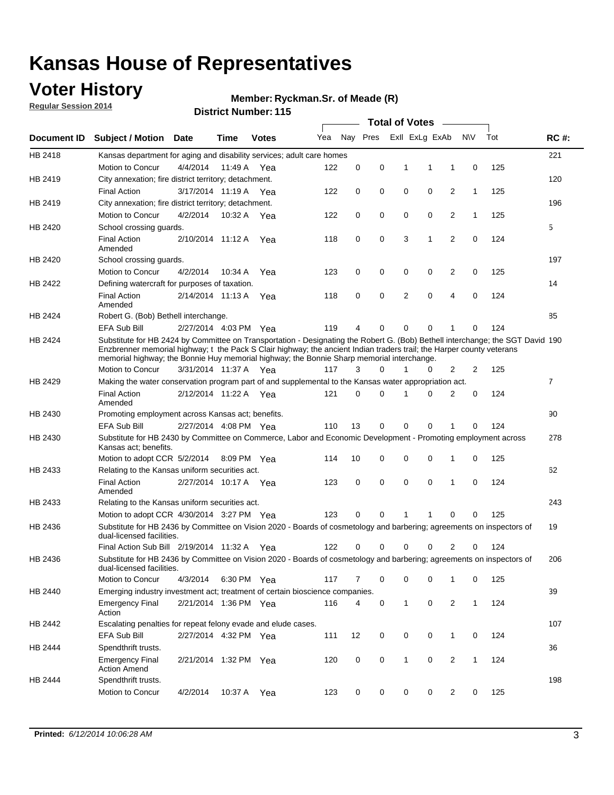### **Voter History**

**Regular Session 2014**

#### **Ryckman.Sr. of Meade (R)**

|                    |                                                                                                                                                                                                                                                                                                                                                      |                       |             | <b>DISTRICT MAILINGLE LTD</b> | <b>Total of Votes</b><br>$\sim$ |          |          |   |                |                |              |     |                |
|--------------------|------------------------------------------------------------------------------------------------------------------------------------------------------------------------------------------------------------------------------------------------------------------------------------------------------------------------------------------------------|-----------------------|-------------|-------------------------------|---------------------------------|----------|----------|---|----------------|----------------|--------------|-----|----------------|
| <b>Document ID</b> | <b>Subject / Motion</b>                                                                                                                                                                                                                                                                                                                              | Date                  | Time        | <b>Votes</b>                  | Yea                             |          | Nay Pres |   | Exll ExLg ExAb |                | <b>NV</b>    | Tot | <b>RC#:</b>    |
| HB 2418            | Kansas department for aging and disability services; adult care homes                                                                                                                                                                                                                                                                                |                       |             |                               |                                 |          |          |   |                |                |              |     | 221            |
|                    | Motion to Concur                                                                                                                                                                                                                                                                                                                                     | 4/4/2014              | 11:49 A     | Yea                           | 122                             | 0        | 0        | 1 | 1              | 1              | 0            | 125 |                |
| HB 2419            | City annexation; fire district territory; detachment.                                                                                                                                                                                                                                                                                                |                       |             |                               |                                 |          |          |   |                |                |              |     | 120            |
|                    | <b>Final Action</b>                                                                                                                                                                                                                                                                                                                                  | 3/17/2014 11:19 A Yea |             |                               | 122                             | 0        | 0        | 0 | 0              | 2              | $\mathbf{1}$ | 125 |                |
| HB 2419            | City annexation; fire district territory; detachment.                                                                                                                                                                                                                                                                                                |                       |             |                               |                                 |          |          |   |                |                |              |     | 196            |
|                    | Motion to Concur                                                                                                                                                                                                                                                                                                                                     | 4/2/2014              | 10:32 A Yea |                               | 122                             | 0        | 0        | 0 | 0              | 2              | $\mathbf{1}$ | 125 |                |
| HB 2420            | School crossing guards.                                                                                                                                                                                                                                                                                                                              |                       |             |                               |                                 |          |          |   |                |                |              |     | 5              |
|                    | <b>Final Action</b><br>Amended                                                                                                                                                                                                                                                                                                                       | 2/10/2014 11:12 A     |             | Yea                           | 118                             | 0        | 0        | 3 | 1              | $\overline{2}$ | 0            | 124 |                |
| HB 2420            | School crossing guards.                                                                                                                                                                                                                                                                                                                              |                       |             |                               |                                 |          |          |   |                |                |              |     | 197            |
|                    | Motion to Concur                                                                                                                                                                                                                                                                                                                                     | 4/2/2014              | 10:34 A     | Yea                           | 123                             | 0        | 0        | 0 | 0              | 2              | 0            | 125 |                |
| HB 2422            | Defining watercraft for purposes of taxation.                                                                                                                                                                                                                                                                                                        |                       |             |                               |                                 |          |          |   |                |                |              |     | 14             |
|                    | <b>Final Action</b><br>Amended                                                                                                                                                                                                                                                                                                                       | 2/14/2014 11:13 A     |             | Yea                           | 118                             | 0        | 0        | 2 | $\mathbf 0$    | 4              | 0            | 124 |                |
| HB 2424            | Robert G. (Bob) Bethell interchange.                                                                                                                                                                                                                                                                                                                 |                       |             |                               |                                 |          |          |   |                |                |              |     | 85             |
|                    | <b>EFA Sub Bill</b>                                                                                                                                                                                                                                                                                                                                  | 2/27/2014 4:03 PM Yea |             |                               | 119                             | 4        | 0        | 0 | $\mathbf 0$    | 1              | 0            | 124 |                |
| HB 2424            | Substitute for HB 2424 by Committee on Transportation - Designating the Robert G. (Bob) Bethell interchange; the SGT David 190<br>Enzbrenner memorial highway; t the Pack S Clair highway; the ancient Indian traders trail; the Harper county veterans<br>memorial highway; the Bonnie Huy memorial highway; the Bonnie Sharp memorial interchange. |                       |             |                               |                                 |          |          |   |                |                |              |     |                |
|                    | Motion to Concur                                                                                                                                                                                                                                                                                                                                     | 3/31/2014 11:37 A Yea |             |                               | 117                             | 3        | $\Omega$ | 1 | 0              | 2              | 2            | 125 |                |
| HB 2429            | Making the water conservation program part of and supplemental to the Kansas water appropriation act.                                                                                                                                                                                                                                                |                       |             |                               |                                 |          |          |   |                |                |              |     | $\overline{7}$ |
|                    | <b>Final Action</b><br>Amended                                                                                                                                                                                                                                                                                                                       | 2/12/2014 11:22 A Yea |             |                               | 121                             | $\Omega$ | 0        | 1 | $\Omega$       | 2              | 0            | 124 |                |
| HB 2430            | Promoting employment across Kansas act; benefits.                                                                                                                                                                                                                                                                                                    |                       |             |                               |                                 |          |          |   |                |                |              |     | 90             |
|                    | <b>EFA Sub Bill</b>                                                                                                                                                                                                                                                                                                                                  | 2/27/2014 4:08 PM Yea |             |                               | 110                             | 13       | 0        | 0 | 0              | 1              | 0            | 124 |                |
| HB 2430            | Substitute for HB 2430 by Committee on Commerce, Labor and Economic Development - Promoting employment across<br>Kansas act; benefits.                                                                                                                                                                                                               |                       |             |                               |                                 |          |          |   |                |                |              |     | 278            |
|                    | Motion to adopt CCR 5/2/2014                                                                                                                                                                                                                                                                                                                         |                       | 8:09 PM Yea |                               | 114                             | 10       | 0        | 0 | 0              | 1              | 0            | 125 |                |
| HB 2433            | Relating to the Kansas uniform securities act.                                                                                                                                                                                                                                                                                                       |                       |             |                               |                                 |          |          |   |                |                |              |     | 62             |
|                    | <b>Final Action</b><br>Amended                                                                                                                                                                                                                                                                                                                       | 2/27/2014 10:17 A Yea |             |                               | 123                             | 0        | 0        | 0 | $\mathbf 0$    | 1              | 0            | 124 |                |
| HB 2433            | Relating to the Kansas uniform securities act.                                                                                                                                                                                                                                                                                                       |                       |             |                               |                                 |          |          |   |                |                |              |     | 243            |
|                    | Motion to adopt CCR 4/30/2014 3:27 PM Yea                                                                                                                                                                                                                                                                                                            |                       |             |                               | 123                             | $\Omega$ | 0        | 1 | 1              | 0              | 0            | 125 |                |
| HB 2436            | Substitute for HB 2436 by Committee on Vision 2020 - Boards of cosmetology and barbering; agreements on inspectors of<br>dual-licensed facilities.                                                                                                                                                                                                   |                       |             |                               |                                 |          |          |   |                |                |              |     | 19             |
|                    | Final Action Sub Bill 2/19/2014 11:32 A                                                                                                                                                                                                                                                                                                              |                       |             | Yea                           | 122                             | 0        | 0        | 0 | 0              | 2              | 0            | 124 |                |
| HB 2436            | Substitute for HB 2436 by Committee on Vision 2020 - Boards of cosmetology and barbering; agreements on inspectors of<br>dual-licensed facilities.                                                                                                                                                                                                   |                       |             |                               |                                 |          |          |   |                |                |              |     | 206            |
|                    | Motion to Concur                                                                                                                                                                                                                                                                                                                                     | 4/3/2014              | 6:30 PM Yea |                               | 117                             | 7        | 0        | 0 | 0              | $\mathbf{1}$   | 0            | 125 |                |
| HB 2440            | Emerging industry investment act; treatment of certain bioscience companies.                                                                                                                                                                                                                                                                         |                       |             |                               |                                 |          |          |   |                |                |              |     | 39             |
|                    | <b>Emergency Final</b><br>Action                                                                                                                                                                                                                                                                                                                     | 2/21/2014 1:36 PM Yea |             |                               | 116                             | 4        | 0        | 1 | 0              | 2              | $\mathbf{1}$ | 124 |                |
| HB 2442            | Escalating penalties for repeat felony evade and elude cases.                                                                                                                                                                                                                                                                                        |                       |             |                               |                                 |          |          |   |                |                |              |     | 107            |
|                    | EFA Sub Bill                                                                                                                                                                                                                                                                                                                                         | 2/27/2014 4:32 PM Yea |             |                               | 111                             | 12       | 0        | 0 | 0              | $\mathbf{1}$   | 0            | 124 |                |
| HB 2444            | Spendthrift trusts.                                                                                                                                                                                                                                                                                                                                  |                       |             |                               |                                 |          |          |   |                |                |              |     | 36             |
|                    | <b>Emergency Final</b><br><b>Action Amend</b>                                                                                                                                                                                                                                                                                                        | 2/21/2014 1:32 PM Yea |             |                               | 120                             | 0        | 0        | 1 | 0              | $\overline{2}$ | $\mathbf{1}$ | 124 |                |
| HB 2444            | Spendthrift trusts.                                                                                                                                                                                                                                                                                                                                  |                       |             |                               |                                 |          |          |   |                |                |              |     | 198            |
|                    | Motion to Concur                                                                                                                                                                                                                                                                                                                                     | 4/2/2014              | 10:37 A Yea |                               | 123                             | 0        | 0        | 0 | 0              | $\overline{2}$ | 0            | 125 |                |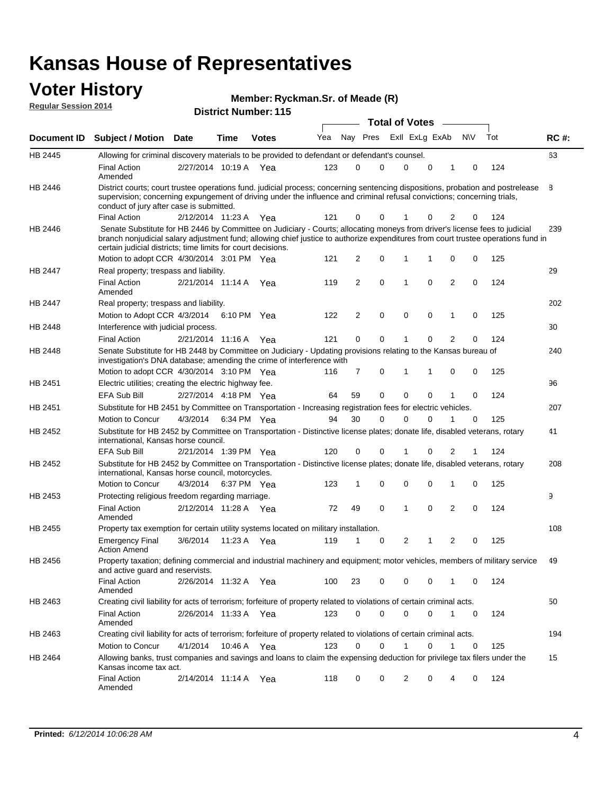#### **Voter History Regular Session 2014**

| Member: Ryckman.Sr. of Meade (R) |  |  |  |
|----------------------------------|--|--|--|
|----------------------------------|--|--|--|

|                    |                                                                                                                                                                                                                                                                                                                                 |                       |      |              |     |    |          | <b>Total of Votes</b> |   |                |           |     |             |
|--------------------|---------------------------------------------------------------------------------------------------------------------------------------------------------------------------------------------------------------------------------------------------------------------------------------------------------------------------------|-----------------------|------|--------------|-----|----|----------|-----------------------|---|----------------|-----------|-----|-------------|
| <b>Document ID</b> | <b>Subject / Motion Date</b>                                                                                                                                                                                                                                                                                                    |                       | Time | <b>Votes</b> | Yea |    | Nay Pres | Exll ExLg ExAb        |   |                | <b>NV</b> | Tot | <b>RC#:</b> |
| HB 2445            | Allowing for criminal discovery materials to be provided to defendant or defendant's counsel.                                                                                                                                                                                                                                   |                       |      |              |     |    |          |                       |   |                |           |     | 63          |
|                    | <b>Final Action</b><br>Amended                                                                                                                                                                                                                                                                                                  | 2/27/2014 10:19 A     |      | Yea          | 123 | 0  | 0        | 0                     | 0 | 1              | 0         | 124 |             |
| HB 2446            | District courts; court trustee operations fund. judicial process; concerning sentencing dispositions, probation and postrelease<br>supervision; concerning expungement of driving under the influence and criminal refusal convictions; concerning trials,<br>conduct of jury after case is submitted.                          |                       |      |              |     |    |          |                       |   |                |           |     | 8           |
|                    | <b>Final Action</b>                                                                                                                                                                                                                                                                                                             | 2/12/2014 11:23 A Yea |      |              | 121 | 0  | 0        | 1                     | 0 | 2              | 0         | 124 |             |
| HB 2446            | Senate Substitute for HB 2446 by Committee on Judiciary - Courts; allocating moneys from driver's license fees to judicial<br>branch nonjudicial salary adjustment fund; allowing chief justice to authorize expenditures from court trustee operations fund in<br>certain judicial districts; time limits for court decisions. |                       |      |              |     |    |          |                       |   |                |           |     | 239         |
|                    | Motion to adopt CCR 4/30/2014 3:01 PM Yea                                                                                                                                                                                                                                                                                       |                       |      |              | 121 | 2  | 0        | 1                     | 1 | 0              | 0         | 125 |             |
| <b>HB 2447</b>     | Real property; trespass and liability.                                                                                                                                                                                                                                                                                          |                       |      |              |     |    |          |                       |   |                |           |     | 29          |
|                    | <b>Final Action</b><br>Amended                                                                                                                                                                                                                                                                                                  | 2/21/2014 11:14 A Yea |      |              | 119 | 2  | 0        | 1                     | 0 | $\overline{2}$ | 0         | 124 |             |
| HB 2447            | Real property; trespass and liability.                                                                                                                                                                                                                                                                                          |                       |      |              |     |    |          |                       |   |                |           |     | 202         |
|                    | Motion to Adopt CCR 4/3/2014 6:10 PM Yea                                                                                                                                                                                                                                                                                        |                       |      |              | 122 | 2  | 0        | 0                     | 0 | $\mathbf{1}$   | 0         | 125 |             |
| HB 2448            | Interference with judicial process.                                                                                                                                                                                                                                                                                             |                       |      |              |     |    |          |                       |   |                |           |     | 30          |
|                    | <b>Final Action</b>                                                                                                                                                                                                                                                                                                             | 2/21/2014 11:16 A Yea |      |              | 121 | 0  | 0        | 1                     | 0 | 2              | 0         | 124 |             |
| HB 2448            | Senate Substitute for HB 2448 by Committee on Judiciary - Updating provisions relating to the Kansas bureau of<br>investigation's DNA database; amending the crime of interference with                                                                                                                                         |                       |      |              |     |    |          |                       |   |                |           |     | 240         |
|                    | Motion to adopt CCR 4/30/2014 3:10 PM Yea                                                                                                                                                                                                                                                                                       |                       |      |              | 116 | 7  | 0        | 1                     | 1 | 0              | 0         | 125 |             |
| HB 2451            | Electric utilities; creating the electric highway fee.                                                                                                                                                                                                                                                                          |                       |      |              |     |    |          |                       |   |                |           |     | 96          |
|                    | <b>EFA Sub Bill</b>                                                                                                                                                                                                                                                                                                             | 2/27/2014 4:18 PM Yea |      |              | 64  | 59 | 0        | 0                     | 0 | 1              | 0         | 124 |             |
| HB 2451            | Substitute for HB 2451 by Committee on Transportation - Increasing registration fees for electric vehicles.                                                                                                                                                                                                                     |                       |      |              |     |    |          |                       |   |                |           |     | 207         |
|                    | Motion to Concur                                                                                                                                                                                                                                                                                                                | 4/3/2014              |      | 6:34 PM Yea  | 94  | 30 | 0        | $\Omega$              | 0 |                | 0         | 125 |             |
| HB 2452            | Substitute for HB 2452 by Committee on Transportation - Distinctive license plates; donate life, disabled veterans, rotary<br>international, Kansas horse council.                                                                                                                                                              |                       |      |              |     |    |          |                       |   |                |           |     | 41          |
|                    | EFA Sub Bill                                                                                                                                                                                                                                                                                                                    | 2/21/2014 1:39 PM Yea |      |              | 120 | 0  | 0        |                       | 0 | 2              |           | 124 |             |
| HB 2452            | Substitute for HB 2452 by Committee on Transportation - Distinctive license plates; donate life, disabled veterans, rotary<br>international, Kansas horse council, motorcycles.                                                                                                                                                 |                       |      |              |     |    |          |                       |   |                |           |     | 208         |
|                    | Motion to Concur                                                                                                                                                                                                                                                                                                                | 4/3/2014              |      | 6:37 PM Yea  | 123 | 1  | 0        | 0                     | 0 | 1              | 0         | 125 |             |
| HB 2453            | Protecting religious freedom regarding marriage.                                                                                                                                                                                                                                                                                |                       |      |              |     |    |          |                       |   |                |           |     | 9           |
|                    | <b>Final Action</b><br>Amended                                                                                                                                                                                                                                                                                                  | 2/12/2014 11:28 A Yea |      |              | 72  | 49 | 0        | 1                     | 0 | 2              | 0         | 124 |             |
| HB 2455            | Property tax exemption for certain utility systems located on military installation.                                                                                                                                                                                                                                            |                       |      |              |     |    |          |                       |   |                |           |     | 108         |
|                    | <b>Emergency Final</b><br><b>Action Amend</b>                                                                                                                                                                                                                                                                                   | 3/6/2014              |      | 11:23 A Yea  | 119 | 1  | 0        | 2                     | 1 | $\overline{2}$ | 0         | 125 |             |
| HB 2456            | Property taxation; defining commercial and industrial machinery and equipment; motor vehicles, members of military service<br>and active guard and reservists.                                                                                                                                                                  |                       |      |              |     |    |          |                       |   |                |           |     | 49          |
|                    | <b>Final Action</b><br>Amended                                                                                                                                                                                                                                                                                                  | 2/26/2014 11:32 A Yea |      |              | 100 | 23 | 0        | 0                     | 0 |                | 0         | 124 |             |
| HB 2463            | Creating civil liability for acts of terrorism; forfeiture of property related to violations of certain criminal acts.                                                                                                                                                                                                          |                       |      |              |     |    |          |                       |   |                |           |     | 50          |
|                    | <b>Final Action</b><br>Amended                                                                                                                                                                                                                                                                                                  | 2/26/2014 11:33 A Yea |      |              | 123 | 0  | 0        | 0                     | 0 | $\mathbf{1}$   | 0         | 124 |             |
| HB 2463            | Creating civil liability for acts of terrorism; forfeiture of property related to violations of certain criminal acts.                                                                                                                                                                                                          |                       |      |              |     |    |          |                       |   |                |           |     | 194         |
|                    | Motion to Concur                                                                                                                                                                                                                                                                                                                | 4/1/2014              |      | 10:46 A Yea  | 123 | 0  | 0        | 1                     | 0 | $\mathbf{1}$   | 0         | 125 |             |
| HB 2464            | Allowing banks, trust companies and savings and loans to claim the expensing deduction for privilege tax filers under the<br>Kansas income tax act.                                                                                                                                                                             |                       |      |              |     |    |          |                       |   |                |           |     | 15          |
|                    | <b>Final Action</b><br>Amended                                                                                                                                                                                                                                                                                                  | 2/14/2014 11:14 A Yea |      |              | 118 | 0  | 0        | 2                     | 0 | 4              | 0         | 124 |             |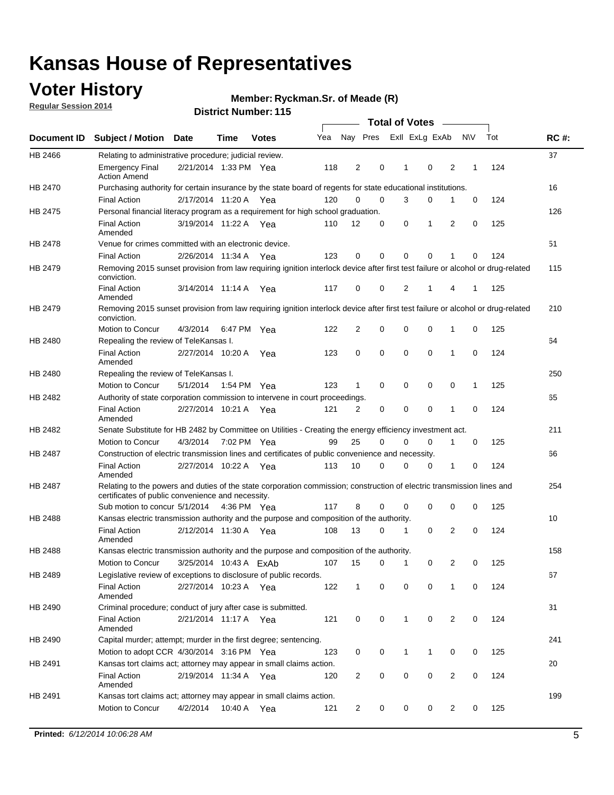## **Voter History**

**Regular Session 2014**

#### **Ryckman.Sr. of Meade (R)**

|                    |                                                                                                                                                                             |                        |             |              |     |                |             | <b>Total of Votes</b> |              |                |                |             |     |             |
|--------------------|-----------------------------------------------------------------------------------------------------------------------------------------------------------------------------|------------------------|-------------|--------------|-----|----------------|-------------|-----------------------|--------------|----------------|----------------|-------------|-----|-------------|
| <b>Document ID</b> | <b>Subject / Motion</b>                                                                                                                                                     | Date                   | Time        | <b>Votes</b> | Yea |                | Nay Pres    |                       |              | Exll ExLg ExAb |                | <b>NV</b>   | Tot | <b>RC#:</b> |
| HB 2466            | Relating to administrative procedure; judicial review.                                                                                                                      |                        |             |              |     |                |             |                       |              |                |                |             |     | 37          |
|                    | <b>Emergency Final</b><br><b>Action Amend</b>                                                                                                                               | 2/21/2014 1:33 PM Yea  |             |              | 118 | 2              | 0           |                       | 1            | $\mathbf 0$    | 2              | 1           | 124 |             |
| <b>HB 2470</b>     | Purchasing authority for certain insurance by the state board of regents for state educational institutions.                                                                |                        |             |              |     |                |             |                       |              |                |                |             |     | 16          |
|                    | <b>Final Action</b>                                                                                                                                                         | 2/17/2014 11:20 A Yea  |             |              | 120 | 0              | 0           |                       | 3            | 0              | 1              | 0           | 124 |             |
| HB 2475            | Personal financial literacy program as a requirement for high school graduation.                                                                                            |                        |             |              |     |                |             |                       |              |                |                |             |     | 126         |
|                    | <b>Final Action</b><br>Amended                                                                                                                                              | 3/19/2014 11:22 A Yea  |             |              | 110 | 12             | 0           |                       | 0            | 1              | 2              | 0           | 125 |             |
| HB 2478            | Venue for crimes committed with an electronic device.                                                                                                                       |                        |             |              |     |                |             |                       |              |                |                |             |     | 51          |
|                    | <b>Final Action</b>                                                                                                                                                         | 2/26/2014 11:34 A      |             | Yea          | 123 | $\mathbf 0$    | 0           |                       | $\Omega$     | $\mathbf 0$    | 1              | 0           | 124 |             |
| HB 2479            | Removing 2015 sunset provision from law requiring ignition interlock device after first test failure or alcohol or drug-related<br>conviction.                              |                        |             |              |     |                |             |                       |              |                |                |             |     | 115         |
|                    | <b>Final Action</b><br>Amended                                                                                                                                              | 3/14/2014 11:14 A      |             | Yea          | 117 | 0              | 0           |                       | 2            | 1              | 4              | 1           | 125 |             |
| HB 2479            | Removing 2015 sunset provision from law requiring ignition interlock device after first test failure or alcohol or drug-related<br>conviction.                              |                        |             |              |     |                |             |                       |              |                |                |             |     | 210         |
|                    | Motion to Concur                                                                                                                                                            | 4/3/2014               |             | 6:47 PM Yea  | 122 | 2              | 0           |                       | $\mathbf 0$  | 0              | 1              | 0           | 125 |             |
| HB 2480            | Repealing the review of TeleKansas I.                                                                                                                                       |                        |             |              |     |                |             |                       |              |                |                |             |     | 64          |
|                    | <b>Final Action</b><br>Amended                                                                                                                                              | 2/27/2014 10:20 A Yea  |             |              | 123 | 0              | $\mathbf 0$ |                       | 0            | $\mathbf 0$    | 1              | 0           | 124 |             |
| HB 2480            | Repealing the review of TeleKansas I.                                                                                                                                       |                        |             |              |     |                |             |                       |              |                |                |             |     | 250         |
|                    | <b>Motion to Concur</b>                                                                                                                                                     | 5/1/2014               |             | 1:54 PM Yea  | 123 | 1              | 0           |                       | 0            | $\mathbf 0$    | 0              | 1           | 125 |             |
| HB 2482            | Authority of state corporation commission to intervene in court proceedings.                                                                                                |                        |             |              |     |                |             |                       |              |                |                |             |     | 65          |
|                    | <b>Final Action</b><br>Amended                                                                                                                                              | 2/27/2014 10:21 A      |             | Yea          | 121 | $\overline{2}$ | 0           |                       | 0            | $\mathbf 0$    | 1              | 0           | 124 |             |
| HB 2482            | Senate Substitute for HB 2482 by Committee on Utilities - Creating the energy efficiency investment act.                                                                    |                        |             |              |     |                |             |                       |              |                |                |             |     | 211         |
|                    | Motion to Concur                                                                                                                                                            | 4/3/2014 7:02 PM Yea   |             |              | 99  | 25             | 0           |                       | 0            | $\mathbf 0$    | 1              | 0           | 125 |             |
| HB 2487            | Construction of electric transmission lines and certificates of public convenience and necessity.                                                                           |                        |             |              |     |                |             |                       |              |                |                |             |     | 66          |
|                    | <b>Final Action</b><br>Amended                                                                                                                                              | 2/27/2014 10:22 A Yea  |             |              | 113 | 10             | 0           |                       | 0            | 0              | 1              | 0           | 124 |             |
| HB 2487            | Relating to the powers and duties of the state corporation commission; construction of electric transmission lines and<br>certificates of public convenience and necessity. |                        |             |              |     |                |             |                       |              |                |                |             |     | 254         |
|                    | Sub motion to concur 5/1/2014                                                                                                                                               |                        | 4:36 PM Yea |              | 117 | 8              | $\mathbf 0$ |                       | 0            | $\mathbf 0$    | 0              | $\mathbf 0$ | 125 |             |
| <b>HB 2488</b>     | Kansas electric transmission authority and the purpose and composition of the authority.                                                                                    |                        |             |              |     |                |             |                       |              |                |                |             |     | 10          |
|                    | <b>Final Action</b><br>Amended                                                                                                                                              | 2/12/2014 11:30 A Yea  |             |              | 108 | 13             | 0           |                       | 1            | $\mathbf 0$    | 2              | 0           | 124 |             |
| HB 2488            | Kansas electric transmission authority and the purpose and composition of the authority.                                                                                    |                        |             |              |     |                |             |                       |              |                |                |             |     | 158         |
|                    | Motion to Concur                                                                                                                                                            | 3/25/2014 10:43 A ExAb |             |              | 107 | 15             | 0           |                       | $\mathbf 1$  | 0              | 2              | 0           | 125 |             |
| HB 2489            | Legislative review of exceptions to disclosure of public records.                                                                                                           |                        |             |              |     |                |             |                       |              |                |                |             |     | 67          |
|                    | <b>Final Action</b><br>Amended                                                                                                                                              | 2/27/2014 10:23 A Yea  |             |              | 122 | $\mathbf{1}$   | 0           |                       | 0            | 0              | 1              | 0           | 124 |             |
| HB 2490            | Criminal procedure; conduct of jury after case is submitted.                                                                                                                |                        |             |              |     |                |             |                       |              |                |                |             |     | 31          |
|                    | <b>Final Action</b><br>Amended                                                                                                                                              | 2/21/2014 11:17 A Yea  |             |              | 121 | 0              | 0           |                       | $\mathbf{1}$ | $\mathbf 0$    | 2              | 0           | 124 |             |
| HB 2490            | Capital murder; attempt; murder in the first degree; sentencing.                                                                                                            |                        |             |              |     |                |             |                       |              |                |                |             |     | 241         |
|                    | Motion to adopt CCR 4/30/2014 3:16 PM Yea                                                                                                                                   |                        |             |              | 123 | 0              | 0           |                       | 1            | 1              | 0              | 0           | 125 |             |
| HB 2491            | Kansas tort claims act; attorney may appear in small claims action.                                                                                                         |                        |             |              |     |                |             |                       |              |                |                |             |     | 20          |
|                    | <b>Final Action</b><br>Amended                                                                                                                                              | 2/19/2014 11:34 A Yea  |             |              | 120 | $\overline{c}$ | 0           |                       | 0            | 0              | 2              | 0           | 124 |             |
| HB 2491            | Kansas tort claims act; attorney may appear in small claims action.                                                                                                         |                        |             |              |     |                |             |                       |              |                |                |             |     | 199         |
|                    | Motion to Concur                                                                                                                                                            | 4/2/2014               |             | 10:40 A Yea  | 121 | $\overline{2}$ | 0           |                       | 0            | 0              | $\overline{2}$ | 0           | 125 |             |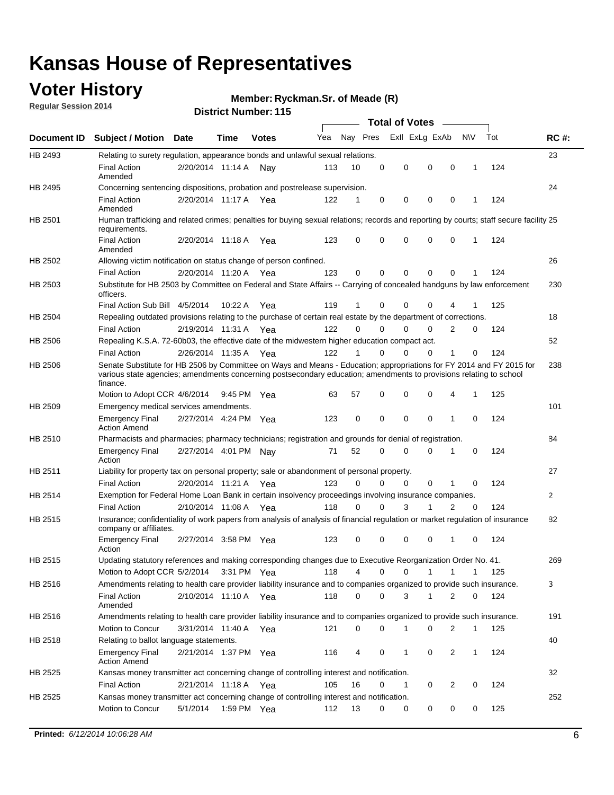### **Voter History**

**Regular Session 2014**

#### **Ryckman.Sr. of Meade (R)**

|                    |                                                                                                                                                                                                                                                        |                       |             |              |     |          |          | <b>Total of Votes</b> |              |                |              |     |              |
|--------------------|--------------------------------------------------------------------------------------------------------------------------------------------------------------------------------------------------------------------------------------------------------|-----------------------|-------------|--------------|-----|----------|----------|-----------------------|--------------|----------------|--------------|-----|--------------|
| <b>Document ID</b> | <b>Subject / Motion Date</b>                                                                                                                                                                                                                           |                       | Time        | <b>Votes</b> | Yea | Nay Pres |          | Exll ExLg ExAb        |              |                | N\V          | Tot | <b>RC#:</b>  |
| HB 2493            | Relating to surety regulation, appearance bonds and unlawful sexual relations.                                                                                                                                                                         |                       |             |              |     |          |          |                       |              |                |              |     | 23           |
|                    | <b>Final Action</b><br>Amended                                                                                                                                                                                                                         | 2/20/2014 11:14 A     |             | Nav          | 113 | 10       | 0        | 0                     | $\mathbf 0$  | 0              | $\mathbf 1$  | 124 |              |
| HB 2495            | Concerning sentencing dispositions, probation and postrelease supervision.                                                                                                                                                                             |                       |             |              |     |          |          |                       |              |                |              |     | 24           |
|                    | Final Action<br>Amended                                                                                                                                                                                                                                | 2/20/2014 11:17 A Yea |             |              | 122 | 1        | 0        | 0                     | 0            | $\mathbf 0$    | 1            | 124 |              |
| HB 2501            | Human trafficking and related crimes; penalties for buying sexual relations; records and reporting by courts; staff secure facility 25<br>requirements.                                                                                                |                       |             |              |     |          |          |                       |              |                |              |     |              |
|                    | <b>Final Action</b><br>Amended                                                                                                                                                                                                                         | 2/20/2014 11:18 A Yea |             |              | 123 | 0        | 0        | 0                     | 0            | $\mathbf 0$    | 1            | 124 |              |
| HB 2502            | Allowing victim notification on status change of person confined.                                                                                                                                                                                      |                       |             |              |     |          |          |                       |              |                |              |     | 26           |
|                    | <b>Final Action</b>                                                                                                                                                                                                                                    | 2/20/2014 11:20 A Yea |             |              | 123 | 0        | 0        | 0                     | $\Omega$     | $\Omega$       |              | 124 |              |
| HB 2503            | Substitute for HB 2503 by Committee on Federal and State Affairs -- Carrying of concealed handguns by law enforcement<br>officers.                                                                                                                     |                       |             |              |     |          |          |                       |              |                |              |     | 230          |
|                    | Final Action Sub Bill 4/5/2014                                                                                                                                                                                                                         |                       | 10:22 A     | Yea          | 119 |          | 0        | 0                     | 0            | 4              |              | 125 |              |
| HB 2504            | Repealing outdated provisions relating to the purchase of certain real estate by the department of corrections.                                                                                                                                        |                       |             |              |     |          |          |                       |              |                |              |     | 18           |
|                    | <b>Final Action</b>                                                                                                                                                                                                                                    | 2/19/2014 11:31 A Yea |             |              | 122 | 0        | 0        | 0                     | $\Omega$     | $\overline{2}$ | 0            | 124 |              |
| HB 2506            | Repealing K.S.A. 72-60b03, the effective date of the midwestern higher education compact act.                                                                                                                                                          |                       |             |              |     |          |          |                       |              |                |              |     | 52           |
|                    | <b>Final Action</b>                                                                                                                                                                                                                                    | 2/26/2014 11:35 A Yea |             |              | 122 |          | 0        | 0                     | 0            | 1              | 0            | 124 |              |
| HB 2506            | Senate Substitute for HB 2506 by Committee on Ways and Means - Education; appropriations for FY 2014 and FY 2015 for<br>various state agencies; amendments concerning postsecondary education; amendments to provisions relating to school<br>finance. |                       |             |              |     |          |          |                       |              |                |              |     | 238          |
|                    | Motion to Adopt CCR 4/6/2014                                                                                                                                                                                                                           |                       | 9:45 PM Yea |              | 63  | 57       | 0        | 0                     | 0            | 4              | 1            | 125 |              |
| HB 2509            | Emergency medical services amendments.                                                                                                                                                                                                                 |                       |             |              |     |          |          |                       |              |                |              |     | 101          |
|                    | <b>Emergency Final</b><br><b>Action Amend</b>                                                                                                                                                                                                          | 2/27/2014 4:24 PM Yea |             |              | 123 | 0        | 0        | 0                     | 0            | $\mathbf 1$    | 0            | 124 |              |
| HB 2510            | Pharmacists and pharmacies; pharmacy technicians; registration and grounds for denial of registration.                                                                                                                                                 |                       |             |              |     |          |          |                       |              |                |              |     | 84           |
|                    | <b>Emergency Final</b><br>Action                                                                                                                                                                                                                       | 2/27/2014 4:01 PM Nay |             |              | 71  | 52       | 0        | 0                     | 0            | 1              | 0            | 124 |              |
| HB 2511            | Liability for property tax on personal property; sale or abandonment of personal property.                                                                                                                                                             |                       |             |              |     |          |          |                       |              |                |              |     | 27           |
|                    | <b>Final Action</b>                                                                                                                                                                                                                                    | 2/20/2014 11:21 A     |             | Yea          | 123 | 0        | $\Omega$ | 0                     | 0            | 1              | 0            | 124 |              |
| HB 2514            | Exemption for Federal Home Loan Bank in certain insolvency proceedings involving insurance companies.                                                                                                                                                  |                       |             |              |     |          |          |                       |              |                |              |     | $\mathbf{2}$ |
|                    | <b>Final Action</b>                                                                                                                                                                                                                                    | 2/10/2014 11:08 A     |             | Yea          | 118 | 0        | 0        | 3                     | 1            | $\overline{2}$ | 0            | 124 |              |
| HB 2515            | Insurance; confidentiality of work papers from analysis of analysis of financial regulation or market regulation of insurance<br>company or affiliates.                                                                                                |                       |             |              |     |          |          |                       |              |                |              |     | 82           |
|                    | <b>Emergency Final</b><br>Action                                                                                                                                                                                                                       | 2/27/2014 3:58 PM Yea |             |              | 123 | 0        | 0        | 0                     | 0            | 1              | 0            | 124 |              |
| HB 2515            | Updating statutory references and making corresponding changes due to Executive Reorganization Order No. 41.                                                                                                                                           |                       |             |              |     |          |          |                       |              |                |              |     | 269          |
|                    | Motion to Adopt CCR 5/2/2014 3:31 PM Yea                                                                                                                                                                                                               |                       |             |              | 118 | 4        | 0        | 0                     | $\mathbf{1}$ | $\mathbf{1}$   | $\mathbf{1}$ | 125 |              |
| HB 2516            | Amendments relating to health care provider liability insurance and to companies organized to provide such insurance.                                                                                                                                  |                       |             |              |     |          |          |                       |              |                |              |     | 3            |
|                    | <b>Final Action</b><br>Amended                                                                                                                                                                                                                         | 2/10/2014 11:10 A Yea |             |              | 118 | 0        | 0        | 3                     | $\mathbf{1}$ | 2              | 0            | 124 |              |
| HB 2516            | Amendments relating to health care provider liability insurance and to companies organized to provide such insurance.                                                                                                                                  |                       |             |              |     |          |          |                       |              |                |              |     | 191          |
|                    | Motion to Concur                                                                                                                                                                                                                                       | 3/31/2014 11:40 A Yea |             |              | 121 | 0        | 0        | 1                     | 0            | 2              | $\mathbf{1}$ | 125 |              |
| HB 2518            | Relating to ballot language statements.                                                                                                                                                                                                                |                       |             |              |     |          |          |                       |              |                |              |     | 40           |
|                    | <b>Emergency Final</b><br><b>Action Amend</b>                                                                                                                                                                                                          | 2/21/2014 1:37 PM Yea |             |              | 116 | 4        | 0        | 1                     | 0            | 2              | $\mathbf{1}$ | 124 |              |
| HB 2525            | Kansas money transmitter act concerning change of controlling interest and notification.                                                                                                                                                               |                       |             |              |     |          |          |                       |              |                |              |     | 32           |
|                    | <b>Final Action</b>                                                                                                                                                                                                                                    | 2/21/2014 11:18 A Yea |             |              | 105 | 16       | 0        | 1                     | 0            | 2              | 0            | 124 |              |
| HB 2525            | Kansas money transmitter act concerning change of controlling interest and notification.                                                                                                                                                               |                       |             |              |     |          |          |                       |              |                |              |     | 252          |
|                    | Motion to Concur                                                                                                                                                                                                                                       | 5/1/2014              |             | 1:59 PM Yea  | 112 | 13       | 0        | 0                     | 0            | 0              | 0            | 125 |              |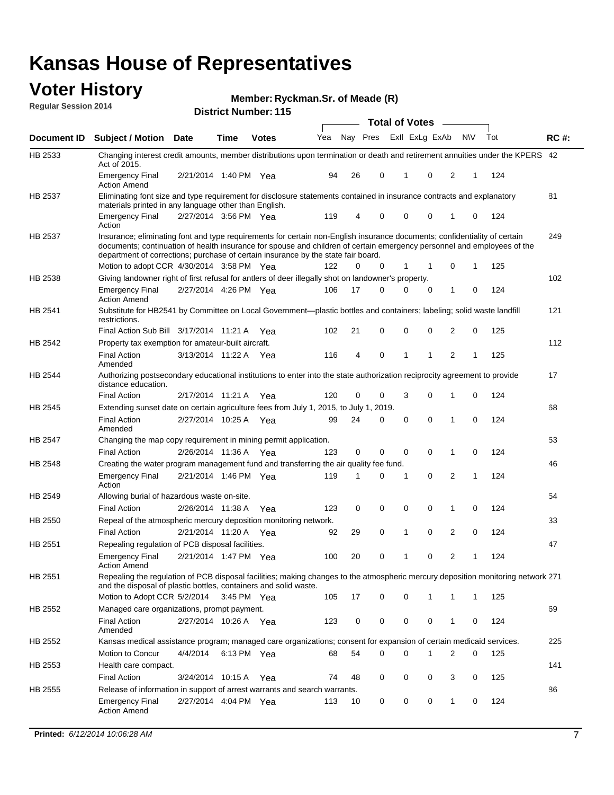### **Voter History**

**Regular Session 2014**

#### **Ryckman.Sr. of Meade (R)**

|                |                                                                                                                                                                                                                                                                                                                                           |                       |             | <b>DISTRICT MAILINGLE LTD</b><br><b>Total of Votes</b> |     |             |          |  |             |                |                |   |     |             |
|----------------|-------------------------------------------------------------------------------------------------------------------------------------------------------------------------------------------------------------------------------------------------------------------------------------------------------------------------------------------|-----------------------|-------------|--------------------------------------------------------|-----|-------------|----------|--|-------------|----------------|----------------|---|-----|-------------|
| Document ID    | <b>Subject / Motion</b>                                                                                                                                                                                                                                                                                                                   | <b>Date</b>           | Time        | <b>Votes</b>                                           | Yea |             | Nay Pres |  |             | Exll ExLg ExAb | N\V            |   | Tot | <b>RC#:</b> |
| HB 2533        | Changing interest credit amounts, member distributions upon termination or death and retirement annuities under the KPERS 42<br>Act of 2015.                                                                                                                                                                                              |                       |             |                                                        |     |             |          |  |             |                |                |   |     |             |
|                | <b>Emergency Final</b><br><b>Action Amend</b>                                                                                                                                                                                                                                                                                             | 2/21/2014 1:40 PM Yea |             |                                                        | 94  | 26          | 0        |  | 1           | 0              | 2              | 1 | 124 |             |
| <b>HB 2537</b> | Eliminating font size and type requirement for disclosure statements contained in insurance contracts and explanatory<br>materials printed in any language other than English.                                                                                                                                                            |                       |             |                                                        |     |             |          |  |             |                |                |   |     | 81          |
|                | <b>Emergency Final</b><br>Action                                                                                                                                                                                                                                                                                                          | 2/27/2014 3:56 PM Yea |             |                                                        | 119 | 4           | 0        |  | 0           | $\mathbf 0$    | 1              | 0 | 124 |             |
| <b>HB 2537</b> | Insurance; eliminating font and type requirements for certain non-English insurance documents; confidentiality of certain<br>documents; continuation of health insurance for spouse and children of certain emergency personnel and employees of the<br>department of corrections; purchase of certain insurance by the state fair board. |                       |             |                                                        |     |             |          |  |             |                |                |   |     | 249         |
|                | Motion to adopt CCR 4/30/2014 3:58 PM Yea                                                                                                                                                                                                                                                                                                 |                       |             |                                                        | 122 | 0           | 0        |  | 1           | 1              | 0              | 1 | 125 |             |
| HB 2538        | Giving landowner right of first refusal for antlers of deer illegally shot on landowner's property.                                                                                                                                                                                                                                       |                       |             |                                                        |     |             |          |  |             |                |                |   |     | 102         |
|                | <b>Emergency Final</b><br><b>Action Amend</b>                                                                                                                                                                                                                                                                                             | 2/27/2014 4:26 PM Yea |             |                                                        | 106 | 17          | 0        |  | 0           | 0              | 1              | 0 | 124 |             |
| HB 2541        | Substitute for HB2541 by Committee on Local Government—plastic bottles and containers; labeling; solid waste landfill<br>restrictions.                                                                                                                                                                                                    |                       |             |                                                        |     |             |          |  |             |                |                |   |     | 121         |
|                | Final Action Sub Bill 3/17/2014 11:21 A Yea                                                                                                                                                                                                                                                                                               |                       |             |                                                        | 102 | 21          | 0        |  | 0           | 0              | $\overline{2}$ | 0 | 125 |             |
| HB 2542        | Property tax exemption for amateur-built aircraft.                                                                                                                                                                                                                                                                                        |                       |             |                                                        |     |             |          |  |             |                |                |   |     | 112         |
|                | <b>Final Action</b><br>Amended                                                                                                                                                                                                                                                                                                            | 3/13/2014 11:22 A Yea |             |                                                        | 116 | 4           | 0        |  | 1           | 1              | $\overline{2}$ | 1 | 125 |             |
| HB 2544        | Authorizing postsecondary educational institutions to enter into the state authorization reciprocity agreement to provide<br>distance education.                                                                                                                                                                                          |                       |             |                                                        |     |             |          |  |             |                |                |   |     | 17          |
|                | <b>Final Action</b>                                                                                                                                                                                                                                                                                                                       | 2/17/2014 11:21 A     |             | Yea                                                    | 120 | 0           | 0        |  | 3           | 0              | 1              | 0 | 124 |             |
| HB 2545        | Extending sunset date on certain agriculture fees from July 1, 2015, to July 1, 2019.                                                                                                                                                                                                                                                     |                       |             |                                                        |     |             |          |  |             |                |                |   |     | 68          |
|                | <b>Final Action</b><br>Amended                                                                                                                                                                                                                                                                                                            | 2/27/2014 10:25 A Yea |             |                                                        | 99  | 24          | $\Omega$ |  | 0           | $\Omega$       | 1              | 0 | 124 |             |
| HB 2547        | Changing the map copy requirement in mining permit application.                                                                                                                                                                                                                                                                           |                       |             |                                                        |     |             |          |  |             |                |                |   |     | 53          |
|                | <b>Final Action</b>                                                                                                                                                                                                                                                                                                                       | 2/26/2014 11:36 A     |             | Yea                                                    | 123 | $\mathbf 0$ | 0        |  | $\mathbf 0$ | 0              | 1              | 0 | 124 |             |
| HB 2548        | Creating the water program management fund and transferring the air quality fee fund.                                                                                                                                                                                                                                                     |                       |             |                                                        |     |             |          |  |             |                |                |   |     | 46          |
|                | <b>Emergency Final</b><br>Action                                                                                                                                                                                                                                                                                                          | 2/21/2014 1:46 PM Yea |             |                                                        | 119 | 1           | 0        |  | 1           | 0              | 2              | 1 | 124 |             |
| HB 2549        | Allowing burial of hazardous waste on-site.                                                                                                                                                                                                                                                                                               |                       |             |                                                        |     |             |          |  |             |                |                |   |     | 54          |
|                | <b>Final Action</b>                                                                                                                                                                                                                                                                                                                       | 2/26/2014 11:38 A     |             | Yea                                                    | 123 | 0           | 0        |  | 0           | $\mathbf 0$    | 1              | 0 | 124 |             |
| HB 2550        | Repeal of the atmospheric mercury deposition monitoring network.                                                                                                                                                                                                                                                                          |                       |             |                                                        |     |             |          |  |             |                |                |   |     | 33          |
|                | <b>Final Action</b>                                                                                                                                                                                                                                                                                                                       | 2/21/2014 11:20 A     |             | Yea                                                    | 92  | 29          | 0        |  | 1           | 0              | 2              | 0 | 124 |             |
| HB 2551        | Repealing regulation of PCB disposal facilities.                                                                                                                                                                                                                                                                                          |                       |             |                                                        |     |             |          |  |             |                |                |   |     | 47          |
|                | <b>Emergency Final</b><br><b>Action Amend</b>                                                                                                                                                                                                                                                                                             | 2/21/2014 1:47 PM Yea |             |                                                        | 100 | 20          | 0        |  | 1           | 0              | 2              | 1 | 124 |             |
| HB 2551        | Repealing the regulation of PCB disposal facilities; making changes to the atmospheric mercury deposition monitoring network 271<br>and the disposal of plastic bottles, containers and solid waste.                                                                                                                                      |                       |             |                                                        |     |             |          |  |             |                |                |   |     |             |
|                | Motion to Adopt CCR 5/2/2014 3:45 PM Yea                                                                                                                                                                                                                                                                                                  |                       |             |                                                        | 105 | 17          | 0        |  | 0           | 1              | 1              | 1 | 125 |             |
| HB 2552        | Managed care organizations, prompt payment.                                                                                                                                                                                                                                                                                               |                       |             |                                                        |     |             |          |  |             |                |                |   |     | 69          |
|                | <b>Final Action</b><br>Amended                                                                                                                                                                                                                                                                                                            | 2/27/2014 10:26 A Yea |             |                                                        | 123 | 0           | 0        |  | 0           | 0              | 1              | 0 | 124 |             |
| HB 2552        | Kansas medical assistance program; managed care organizations; consent for expansion of certain medicaid services.                                                                                                                                                                                                                        |                       |             |                                                        |     |             |          |  |             |                |                |   |     | 225         |
|                | Motion to Concur                                                                                                                                                                                                                                                                                                                          | 4/4/2014              | 6:13 PM Yea |                                                        | 68  | 54          | 0        |  | 0           | 1              | 2              | 0 | 125 |             |
| HB 2553        | Health care compact.                                                                                                                                                                                                                                                                                                                      |                       |             |                                                        |     |             |          |  |             |                |                |   |     | 141         |
|                | <b>Final Action</b>                                                                                                                                                                                                                                                                                                                       | 3/24/2014 10:15 A Yea |             |                                                        | 74  | 48          | 0        |  | 0           | 0              | 3              | 0 | 125 |             |
| HB 2555        | Release of information in support of arrest warrants and search warrants.                                                                                                                                                                                                                                                                 |                       |             |                                                        |     |             |          |  |             |                |                |   |     | 86          |
|                | <b>Emergency Final</b><br><b>Action Amend</b>                                                                                                                                                                                                                                                                                             | 2/27/2014 4:04 PM Yea |             |                                                        | 113 | 10          | 0        |  | 0           | 0              | $\mathbf{1}$   | 0 | 124 |             |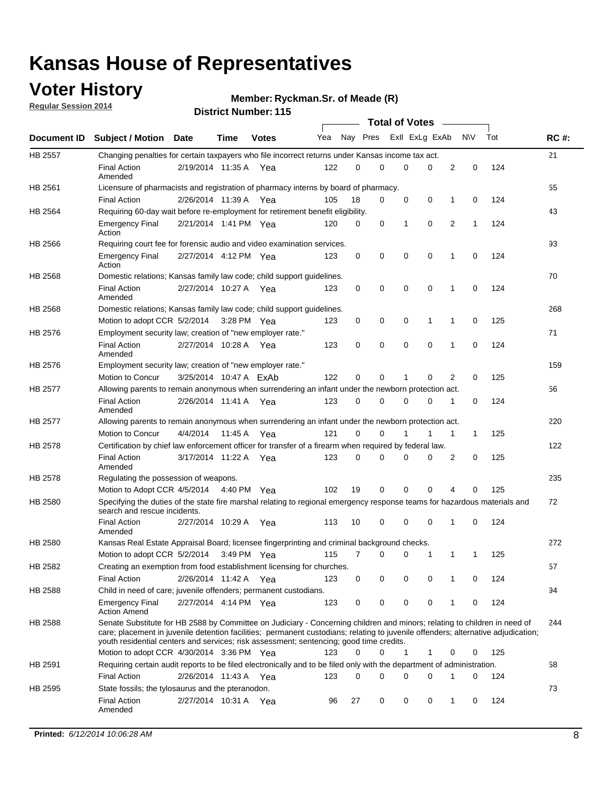### **Voter History**

**Regular Session 2014**

**Ryckman.Sr. of Meade (R)**

|                |                                                                                                                                                                                                                                                                                                                                                           |                        |             |               |     |          |   | <b>Total of Votes</b> |             |              |              |     |             |
|----------------|-----------------------------------------------------------------------------------------------------------------------------------------------------------------------------------------------------------------------------------------------------------------------------------------------------------------------------------------------------------|------------------------|-------------|---------------|-----|----------|---|-----------------------|-------------|--------------|--------------|-----|-------------|
|                | Document ID Subject / Motion Date                                                                                                                                                                                                                                                                                                                         |                        | Time        | <b>Votes</b>  | Yea | Nay Pres |   | Exll ExLg ExAb        |             |              | <b>NV</b>    | Tot | <b>RC#:</b> |
| <b>HB 2557</b> | Changing penalties for certain taxpayers who file incorrect returns under Kansas income tax act.                                                                                                                                                                                                                                                          |                        |             |               |     |          |   |                       |             |              |              |     | 21          |
|                | <b>Final Action</b><br>Amended                                                                                                                                                                                                                                                                                                                            | 2/19/2014 11:35 A      |             | Yea           | 122 | 0        | 0 | 0                     | 0           | 2            | 0            | 124 |             |
| HB 2561        | Licensure of pharmacists and registration of pharmacy interns by board of pharmacy.                                                                                                                                                                                                                                                                       |                        |             |               |     |          |   |                       |             |              |              |     | 55          |
|                | <b>Final Action</b>                                                                                                                                                                                                                                                                                                                                       | 2/26/2014 11:39 A Yea  |             |               | 105 | 18       | 0 | 0                     | 0           | 1            | 0            | 124 |             |
| HB 2564        | Requiring 60-day wait before re-employment for retirement benefit eligibility.                                                                                                                                                                                                                                                                            |                        |             |               |     |          |   |                       |             |              |              |     | 43          |
|                | <b>Emergency Final</b><br>Action                                                                                                                                                                                                                                                                                                                          | 2/21/2014 1:41 PM Yea  |             |               | 120 | 0        | 0 | 1                     | 0           | 2            | 1            | 124 |             |
| HB 2566        | Requiring court fee for forensic audio and video examination services.                                                                                                                                                                                                                                                                                    |                        |             |               |     |          |   |                       |             |              |              |     | 93          |
|                | <b>Emergency Final</b><br>Action                                                                                                                                                                                                                                                                                                                          | 2/27/2014 4:12 PM Yea  |             |               | 123 | 0        | 0 | 0                     | $\mathbf 0$ | 1            | $\mathbf 0$  | 124 |             |
| HB 2568        | Domestic relations; Kansas family law code; child support guidelines.                                                                                                                                                                                                                                                                                     |                        |             |               |     |          |   |                       |             |              |              |     | 70          |
|                | <b>Final Action</b><br>Amended                                                                                                                                                                                                                                                                                                                            | 2/27/2014 10:27 A      |             | Yea           | 123 | 0        | 0 | 0                     | 0           | 1            | 0            | 124 |             |
| HB 2568        | Domestic relations; Kansas family law code; child support guidelines.                                                                                                                                                                                                                                                                                     |                        |             |               |     |          |   |                       |             |              |              |     | 268         |
|                | Motion to adopt CCR 5/2/2014                                                                                                                                                                                                                                                                                                                              |                        | 3:28 PM Yea |               | 123 | 0        | 0 | 0                     | 1           | 1            | 0            | 125 |             |
| HB 2576        | Employment security law; creation of "new employer rate."                                                                                                                                                                                                                                                                                                 |                        |             |               |     |          |   |                       |             |              |              |     | 71          |
|                | <b>Final Action</b><br>Amended                                                                                                                                                                                                                                                                                                                            | 2/27/2014 10:28 A      |             | Yea           | 123 | 0        | 0 | 0                     | $\mathbf 0$ | 1            | 0            | 124 |             |
| HB 2576        | Employment security law; creation of "new employer rate."                                                                                                                                                                                                                                                                                                 |                        |             |               |     |          |   |                       |             |              |              |     | 159         |
|                | Motion to Concur                                                                                                                                                                                                                                                                                                                                          | 3/25/2014 10:47 A ExAb |             |               | 122 | 0        | 0 | 1                     | 0           | 2            | 0            | 125 |             |
| HB 2577        | Allowing parents to remain anonymous when surrendering an infant under the newborn protection act.                                                                                                                                                                                                                                                        |                        |             |               |     |          |   |                       |             |              |              |     | 56          |
|                | <b>Final Action</b><br>Amended                                                                                                                                                                                                                                                                                                                            | 2/26/2014 11:41 A Yea  |             |               | 123 | 0        | 0 | 0                     | $\Omega$    | 1            | 0            | 124 |             |
| HB 2577        | Allowing parents to remain anonymous when surrendering an infant under the newborn protection act.                                                                                                                                                                                                                                                        |                        |             |               |     |          |   |                       |             |              |              |     | 220         |
|                | Motion to Concur                                                                                                                                                                                                                                                                                                                                          | 4/4/2014               | 11:45 A     | Yea           | 121 | $\Omega$ | 0 |                       | 1           | $\mathbf{1}$ | $\mathbf{1}$ | 125 |             |
| HB 2578        | Certification by chief law enforcement officer for transfer of a firearm when required by federal law.                                                                                                                                                                                                                                                    |                        |             |               |     |          |   |                       |             |              |              |     | 122         |
|                | <b>Final Action</b><br>Amended                                                                                                                                                                                                                                                                                                                            | 3/17/2014 11:22 A      |             | Yea           | 123 | $\Omega$ | 0 | 0                     | $\Omega$    | 2            | 0            | 125 |             |
| HB 2578        | Regulating the possession of weapons.                                                                                                                                                                                                                                                                                                                     |                        |             |               |     |          |   |                       |             |              |              |     | 235         |
|                | Motion to Adopt CCR 4/5/2014 4:40 PM Yea                                                                                                                                                                                                                                                                                                                  |                        |             |               | 102 | 19       | 0 | 0                     | 0           | 4            | $\Omega$     | 125 |             |
| HB 2580        | Specifying the duties of the state fire marshal relating to regional emergency response teams for hazardous materials and<br>search and rescue incidents.                                                                                                                                                                                                 |                        |             |               |     |          |   |                       |             |              |              |     | 72          |
|                | <b>Final Action</b><br>Amended                                                                                                                                                                                                                                                                                                                            | 2/27/2014 10:29 A      |             | Yea           | 113 | 10       | 0 | 0                     | 0           | 1            | 0            | 124 |             |
| HB 2580        | Kansas Real Estate Appraisal Board; licensee fingerprinting and criminal background checks.                                                                                                                                                                                                                                                               |                        |             |               |     |          |   |                       |             |              |              |     | 272         |
|                | Motion to adopt CCR 5/2/2014                                                                                                                                                                                                                                                                                                                              |                        |             | $3:49$ PM Yea | 115 | 7        | 0 | 0                     | 1           | 1            | -1           | 125 |             |
| HB 2582        | Creating an exemption from food establishment licensing for churches.                                                                                                                                                                                                                                                                                     |                        |             |               |     |          |   |                       |             |              |              |     | 57          |
|                | <b>Final Action</b>                                                                                                                                                                                                                                                                                                                                       | 2/26/2014 11:42 A Yea  |             |               | 123 | 0        | 0 | 0                     | 0           | 1            | 0            | 124 |             |
| HB 2588        | Child in need of care; juvenile offenders; permanent custodians.                                                                                                                                                                                                                                                                                          |                        |             |               |     |          |   |                       |             |              |              |     | 94          |
|                | <b>Emergency Final</b><br><b>Action Amend</b>                                                                                                                                                                                                                                                                                                             | 2/27/2014 4:14 PM Yea  |             |               | 123 | 0        | 0 | 0                     | 0           | 1            | 0            | 124 |             |
| HB 2588        | Senate Substitute for HB 2588 by Committee on Judiciary - Concerning children and minors; relating to children in need of<br>care; placement in juvenile detention facilities; permanent custodians; relating to juvenile offenders; alternative adjudication;<br>youth residential centers and services; risk assessment; sentencing; good time credits. |                        |             |               |     |          |   |                       |             |              |              |     | 244         |
|                | Motion to adopt CCR 4/30/2014 3:36 PM Yea                                                                                                                                                                                                                                                                                                                 |                        |             |               | 123 | 0        | 0 | 1                     | 1           | 0            | 0            | 125 |             |
| HB 2591        | Requiring certain audit reports to be filed electronically and to be filed only with the department of administration.                                                                                                                                                                                                                                    |                        |             |               |     |          |   |                       |             |              |              |     | 58          |
|                | <b>Final Action</b>                                                                                                                                                                                                                                                                                                                                       | 2/26/2014 11:43 A Yea  |             |               | 123 | 0        | 0 | 0                     | 0           | 1            | 0            | 124 |             |
| HB 2595        | State fossils; the tylosaurus and the pteranodon.                                                                                                                                                                                                                                                                                                         |                        |             |               |     |          |   |                       |             |              |              |     | 73          |
|                | <b>Final Action</b><br>Amended                                                                                                                                                                                                                                                                                                                            | 2/27/2014 10:31 A Yea  |             |               | 96  | 27       | 0 | 0                     | 0           | 1            | 0            | 124 |             |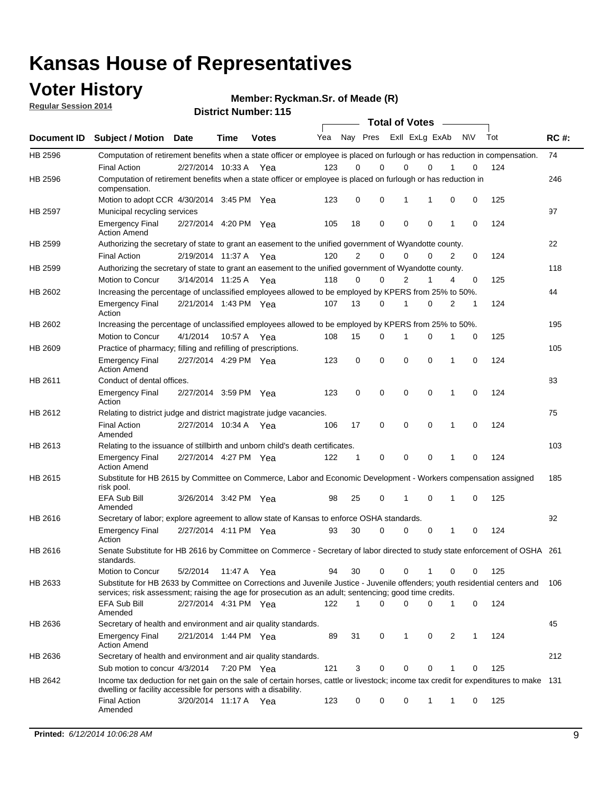### **Voter History**

**Regular Session 2014**

**Ryckman.Sr. of Meade (R)**

|                    |                                                                                                                                                                                                                                       |                       |             | DISTICL NUMBER 119 |     |              |                         |   | <b>Total of Votes</b>      |          |              |             |     |             |
|--------------------|---------------------------------------------------------------------------------------------------------------------------------------------------------------------------------------------------------------------------------------|-----------------------|-------------|--------------------|-----|--------------|-------------------------|---|----------------------------|----------|--------------|-------------|-----|-------------|
| <b>Document ID</b> | <b>Subject / Motion</b>                                                                                                                                                                                                               | <b>Date</b>           | Time        | <b>Votes</b>       | Yea |              | Nay Pres Exll ExLg ExAb |   |                            |          |              | <b>NV</b>   | Tot | <b>RC#:</b> |
| HB 2596            | Computation of retirement benefits when a state officer or employee is placed on furlough or has reduction in compensation.                                                                                                           |                       |             |                    |     |              |                         |   |                            |          |              |             |     | 74          |
|                    | <b>Final Action</b>                                                                                                                                                                                                                   | 2/27/2014 10:33 A     |             | Yea                | 123 | 0            | $\Omega$                |   | 0                          | $\Omega$ |              | 0           | 124 |             |
| HB 2596            | Computation of retirement benefits when a state officer or employee is placed on furlough or has reduction in<br>compensation.                                                                                                        |                       |             |                    |     |              |                         |   |                            |          |              |             |     | 246         |
|                    | Motion to adopt CCR 4/30/2014 3:45 PM Yea                                                                                                                                                                                             |                       |             |                    | 123 | 0            | 0                       |   | 1                          | 1        | 0            | 0           | 125 |             |
| HB 2597            | Municipal recycling services                                                                                                                                                                                                          |                       |             |                    |     |              |                         |   |                            |          |              |             |     | 97          |
|                    | <b>Emergency Final</b><br><b>Action Amend</b>                                                                                                                                                                                         | 2/27/2014 4:20 PM Yea |             |                    | 105 | 18           | 0                       |   | $\mathbf 0$<br>$\mathbf 0$ |          | 1            | $\mathbf 0$ | 124 |             |
| HB 2599            | Authorizing the secretary of state to grant an easement to the unified government of Wyandotte county.                                                                                                                                |                       |             |                    |     |              |                         |   |                            |          |              |             |     | 22          |
|                    | <b>Final Action</b>                                                                                                                                                                                                                   | 2/19/2014 11:37 A     |             | Yea                | 120 | 2            | $\mathbf 0$             |   | 0                          | 0        | 2            | 0           | 124 |             |
| HB 2599            | Authorizing the secretary of state to grant an easement to the unified government of Wyandotte county.                                                                                                                                |                       |             |                    |     |              |                         |   |                            |          |              |             |     | 118         |
|                    | Motion to Concur                                                                                                                                                                                                                      | 3/14/2014 11:25 A     |             | Yea                | 118 | $\Omega$     | 0                       |   | $\overline{2}$             | 1        | 4            | 0           | 125 |             |
| HB 2602            | Increasing the percentage of unclassified employees allowed to be employed by KPERS from 25% to 50%.                                                                                                                                  |                       |             |                    |     |              |                         |   |                            |          |              |             |     | 44          |
|                    | <b>Emergency Final</b><br>Action                                                                                                                                                                                                      | 2/21/2014 1:43 PM Yea |             |                    | 107 | 13           | 0                       |   | 1                          | 0        | 2            | 1           | 124 |             |
| HB 2602            | Increasing the percentage of unclassified employees allowed to be employed by KPERS from 25% to 50%.                                                                                                                                  |                       |             |                    |     |              |                         |   |                            |          |              |             |     | 195         |
|                    | Motion to Concur                                                                                                                                                                                                                      | 4/1/2014              | 10:57 A Yea |                    | 108 | 15           | 0                       | 1 |                            | 0        |              | 0           | 125 |             |
| HB 2609            | Practice of pharmacy; filling and refilling of prescriptions.                                                                                                                                                                         |                       |             |                    |     |              |                         |   |                            |          |              |             |     | 105         |
|                    | <b>Emergency Final</b><br><b>Action Amend</b>                                                                                                                                                                                         | 2/27/2014 4:29 PM Yea |             |                    | 123 | 0            | $\mathbf 0$             |   | $\mathbf 0$<br>$\mathbf 0$ |          | 1            | $\mathbf 0$ | 124 |             |
| HB 2611            | Conduct of dental offices.                                                                                                                                                                                                            |                       |             |                    |     |              |                         |   |                            |          |              |             |     | 83          |
|                    | <b>Emergency Final</b><br>Action                                                                                                                                                                                                      | 2/27/2014 3:59 PM Yea |             |                    | 123 | 0            | $\mathbf 0$             |   | $\mathbf 0$                | 0        | 1            | 0           | 124 |             |
| HB 2612            | Relating to district judge and district magistrate judge vacancies.                                                                                                                                                                   |                       |             |                    |     |              |                         |   |                            |          |              |             |     | 75          |
|                    | <b>Final Action</b><br>Amended                                                                                                                                                                                                        | 2/27/2014 10:34 A     |             | Yea                | 106 | 17           | $\mathbf 0$             |   | $\mathbf 0$                | 0        | 1            | $\mathbf 0$ | 124 |             |
| HB 2613            | Relating to the issuance of stillbirth and unborn child's death certificates.                                                                                                                                                         |                       |             |                    |     |              |                         |   |                            |          |              |             |     | 103         |
|                    | <b>Emergency Final</b><br><b>Action Amend</b>                                                                                                                                                                                         | 2/27/2014 4:27 PM Yea |             |                    | 122 | 1            | 0                       |   | $\mathbf 0$<br>$\Omega$    |          | 1            | $\Omega$    | 124 |             |
| HB 2615            | Substitute for HB 2615 by Committee on Commerce, Labor and Economic Development - Workers compensation assigned<br>risk pool.                                                                                                         |                       |             |                    |     |              |                         |   |                            |          |              |             |     | 185         |
|                    | <b>EFA Sub Bill</b><br>Amended                                                                                                                                                                                                        | 3/26/2014 3:42 PM Yea |             |                    | 98  | 25           | 0                       |   | 1                          | 0        | 1            | 0           | 125 |             |
| HB 2616            | Secretary of labor; explore agreement to allow state of Kansas to enforce OSHA standards.                                                                                                                                             |                       |             |                    |     |              |                         |   |                            |          |              |             |     | 92          |
|                    | <b>Emergency Final</b><br>Action                                                                                                                                                                                                      | 2/27/2014 4:11 PM Yea |             |                    | 93  | 30           | 0                       |   | 0                          | 0        | 1            | 0           | 124 |             |
| HB 2616            | Senate Substitute for HB 2616 by Committee on Commerce - Secretary of labor directed to study state enforcement of OSHA 261<br>standards.                                                                                             |                       |             |                    |     |              |                         |   |                            |          |              |             |     |             |
|                    | Motion to Concur                                                                                                                                                                                                                      | 5/2/2014              | 11:47 A Yea |                    | 94  | 30           | 0                       |   | 0                          |          | 0            | 0           | 125 |             |
| HB 2633            | Substitute for HB 2633 by Committee on Corrections and Juvenile Justice - Juvenile offenders; youth residential centers and<br>services; risk assessment; raising the age for prosecution as an adult; sentencing; good time credits. |                       |             |                    |     |              |                         |   |                            |          |              |             |     | 106         |
|                    | <b>EFA Sub Bill</b><br>Amended                                                                                                                                                                                                        | 2/27/2014 4:31 PM Yea |             |                    | 122 | $\mathbf{1}$ | $\Omega$                |   | 0                          | 0        | $\mathbf{1}$ | 0           | 124 |             |
| HB 2636            | Secretary of health and environment and air quality standards.                                                                                                                                                                        |                       |             |                    |     |              |                         |   |                            |          |              |             |     | 45          |
|                    | <b>Emergency Final</b><br><b>Action Amend</b>                                                                                                                                                                                         | 2/21/2014 1:44 PM Yea |             |                    | 89  | 31           | 0                       |   | 1                          | 0        | 2            | 1           | 124 |             |
| HB 2636            | Secretary of health and environment and air quality standards.                                                                                                                                                                        |                       |             |                    |     |              |                         |   |                            |          |              |             |     | 212         |
|                    | Sub motion to concur 4/3/2014 7:20 PM Yea                                                                                                                                                                                             |                       |             |                    | 121 | 3            | 0                       |   | 0                          | 0        |              | 0           | 125 |             |
| HB 2642            | Income tax deduction for net gain on the sale of certain horses, cattle or livestock; income tax credit for expenditures to make 131<br>dwelling or facility accessible for persons with a disability.                                |                       |             |                    |     |              |                         |   |                            |          |              |             |     |             |
|                    | <b>Final Action</b><br>Amended                                                                                                                                                                                                        | 3/20/2014 11:17 A Yea |             |                    | 123 | 0            | 0                       | 0 |                            | 1        | 1            | 0           | 125 |             |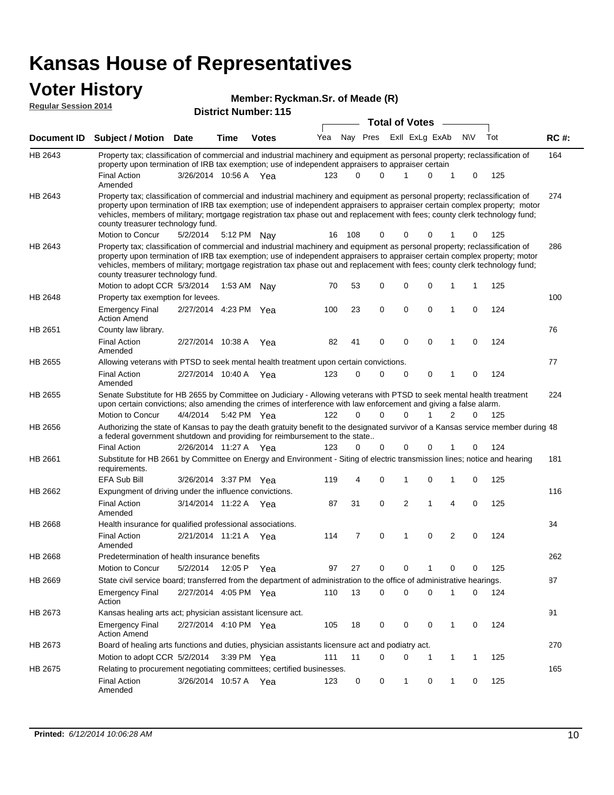#### **Voter History Regular Session 2014**

#### **Ryckman.Sr. of Meade (R)**

|             |                                                                                                                                                                                                                                                                                                                                                                                                                               |                       |             | טו זי ושעווווטרי וויט | <b>Total of Votes</b> |       |          |                |                |                |     |     |             |
|-------------|-------------------------------------------------------------------------------------------------------------------------------------------------------------------------------------------------------------------------------------------------------------------------------------------------------------------------------------------------------------------------------------------------------------------------------|-----------------------|-------------|-----------------------|-----------------------|-------|----------|----------------|----------------|----------------|-----|-----|-------------|
| Document ID | <b>Subject / Motion Date</b>                                                                                                                                                                                                                                                                                                                                                                                                  |                       | <b>Time</b> | <b>Votes</b>          | Yea                   |       | Nay Pres |                | Exll ExLg ExAb |                | N\V | Tot | <b>RC#:</b> |
| HB 2643     | Property tax; classification of commercial and industrial machinery and equipment as personal property; reclassification of<br>property upon termination of IRB tax exemption; use of independent appraisers to appraiser certain                                                                                                                                                                                             |                       |             |                       |                       |       |          |                |                |                |     |     | 164         |
|             | <b>Final Action</b><br>Amended                                                                                                                                                                                                                                                                                                                                                                                                | 3/26/2014 10:56 A Yea |             |                       | 123                   | 0     | 0        | 1              | 0              | 1              | 0   | 125 |             |
| HB 2643     | Property tax; classification of commercial and industrial machinery and equipment as personal property; reclassification of<br>property upon termination of IRB tax exemption; use of independent appraisers to appraiser certain complex property; motor<br>vehicles, members of military; mortgage registration tax phase out and replacement with fees; county clerk technology fund;<br>county treasurer technology fund. |                       |             |                       |                       |       |          |                |                |                |     |     | 274         |
|             | Motion to Concur                                                                                                                                                                                                                                                                                                                                                                                                              | 5/2/2014              |             | 5:12 PM Nay           | 16                    | - 108 | 0        | 0              | 0              | 1              | 0   | 125 |             |
| HB 2643     | Property tax; classification of commercial and industrial machinery and equipment as personal property; reclassification of<br>property upon termination of IRB tax exemption; use of independent appraisers to appraiser certain complex property; motor<br>vehicles, members of military; mortgage registration tax phase out and replacement with fees; county clerk technology fund;<br>county treasurer technology fund. |                       |             |                       |                       |       |          |                |                |                |     |     | 286         |
|             | Motion to adopt CCR 5/3/2014                                                                                                                                                                                                                                                                                                                                                                                                  |                       | 1:53 AM     | Nay                   | 70                    | 53    | 0        | 0              | $\mathbf 0$    | 1              | 1   | 125 |             |
| HB 2648     | Property tax exemption for levees.                                                                                                                                                                                                                                                                                                                                                                                            |                       |             |                       |                       |       |          |                |                |                |     |     | 100         |
|             | <b>Emergency Final</b><br><b>Action Amend</b>                                                                                                                                                                                                                                                                                                                                                                                 | 2/27/2014 4:23 PM Yea |             |                       | 100                   | 23    | 0        | $\mathbf 0$    | $\mathbf 0$    | 1              | 0   | 124 |             |
| HB 2651     | County law library.                                                                                                                                                                                                                                                                                                                                                                                                           |                       |             |                       |                       |       |          |                |                |                |     |     | 76          |
|             | <b>Final Action</b><br>Amended                                                                                                                                                                                                                                                                                                                                                                                                | 2/27/2014 10:38 A     |             | Yea                   | 82                    | 41    | 0        | 0              | 0              | 1              | 0   | 124 |             |
| HB 2655     | Allowing veterans with PTSD to seek mental health treatment upon certain convictions.                                                                                                                                                                                                                                                                                                                                         |                       |             |                       |                       |       |          |                |                |                |     |     | 77          |
|             | <b>Final Action</b><br>Amended                                                                                                                                                                                                                                                                                                                                                                                                | 2/27/2014 10:40 A Yea |             |                       | 123                   | 0     | 0        | $\mathbf 0$    | 0              | 1              | 0   | 124 |             |
| HB 2655     | Senate Substitute for HB 2655 by Committee on Judiciary - Allowing veterans with PTSD to seek mental health treatment<br>upon certain convictions; also amending the crimes of interference with law enforcement and giving a false alarm.                                                                                                                                                                                    |                       |             |                       |                       |       |          |                |                |                |     |     | 224         |
|             | Motion to Concur                                                                                                                                                                                                                                                                                                                                                                                                              | 4/4/2014              |             | 5:42 PM Yea           | 122                   | 0     | 0        | $\Omega$       |                | 2              | 0   | 125 |             |
| HB 2656     | Authorizing the state of Kansas to pay the death gratuity benefit to the designated survivor of a Kansas service member during 48<br>a federal government shutdown and providing for reimbursement to the state                                                                                                                                                                                                               |                       |             |                       |                       |       |          |                |                |                |     |     |             |
|             | <b>Final Action</b>                                                                                                                                                                                                                                                                                                                                                                                                           | 2/26/2014 11:27 A Yea |             |                       | 123                   | 0     | 0        | $\mathbf 0$    | 0              | 1              | 0   | 124 |             |
| HB 2661     | Substitute for HB 2661 by Committee on Energy and Environment - Siting of electric transmission lines; notice and hearing<br>requirements.                                                                                                                                                                                                                                                                                    |                       |             |                       |                       |       |          |                |                |                |     |     | 181         |
|             | EFA Sub Bill                                                                                                                                                                                                                                                                                                                                                                                                                  | 3/26/2014 3:37 PM Yea |             |                       | 119                   | 4     | 0        | 1              | $\mathbf 0$    | 1              | 0   | 125 |             |
| HB 2662     | Expungment of driving under the influence convictions.                                                                                                                                                                                                                                                                                                                                                                        |                       |             |                       |                       |       |          |                |                |                |     |     | 116         |
|             | <b>Final Action</b><br>Amended                                                                                                                                                                                                                                                                                                                                                                                                | 3/14/2014 11:22 A Yea |             |                       | 87                    | 31    | 0        | $\overline{2}$ | 1              | 4              | 0   | 125 |             |
| HB 2668     | Health insurance for qualified professional associations.                                                                                                                                                                                                                                                                                                                                                                     |                       |             |                       |                       |       |          |                |                |                |     |     | 34          |
|             | <b>Final Action</b><br>Amended                                                                                                                                                                                                                                                                                                                                                                                                | 2/21/2014 11:21 A Yea |             |                       | 114                   | 7     | 0        | 1              | $\mathbf 0$    | $\overline{2}$ | 0   | 124 |             |
| HB 2668     | Predetermination of health insurance benefits                                                                                                                                                                                                                                                                                                                                                                                 |                       |             |                       |                       |       |          |                |                |                |     |     | 262         |
|             | Motion to Concur                                                                                                                                                                                                                                                                                                                                                                                                              | 5/2/2014              |             | 12:05 P Yea           | 97                    | 27    | 0        | 0              | 1              | 0              | 0   | 125 |             |
| HB 2669     | State civil service board; transferred from the department of administration to the office of administrative hearings.                                                                                                                                                                                                                                                                                                        |                       |             |                       |                       |       |          |                |                |                |     |     | 87          |
|             | <b>Emergency Final</b><br>Action                                                                                                                                                                                                                                                                                                                                                                                              | 2/27/2014 4:05 PM Yea |             |                       | 110                   | 13    | 0        | $\mathbf 0$    | 0              | 1              | 0   | 124 |             |
| HB 2673     | Kansas healing arts act; physician assistant licensure act.                                                                                                                                                                                                                                                                                                                                                                   |                       |             |                       |                       |       |          |                |                |                |     |     | 91          |
|             | <b>Emergency Final</b><br><b>Action Amend</b>                                                                                                                                                                                                                                                                                                                                                                                 | 2/27/2014 4:10 PM Yea |             |                       | 105                   | 18    | 0        | 0              | 0              | 1              | 0   | 124 |             |
| HB 2673     | Board of healing arts functions and duties, physician assistants licensure act and podiatry act.                                                                                                                                                                                                                                                                                                                              |                       |             |                       |                       |       |          |                |                |                |     |     | 270         |
|             | Motion to adopt CCR 5/2/2014 3:39 PM Yea                                                                                                                                                                                                                                                                                                                                                                                      |                       |             |                       | 111                   | 11    | 0        | 0              |                | 1              | 1   | 125 |             |
| HB 2675     | Relating to procurement negotiating committees; certified businesses.                                                                                                                                                                                                                                                                                                                                                         |                       |             |                       |                       |       |          |                |                |                |     |     | 165         |
|             | <b>Final Action</b><br>Amended                                                                                                                                                                                                                                                                                                                                                                                                | 3/26/2014 10:57 A Yea |             |                       | 123                   | 0     | 0        | 1              | 0              | 1              | 0   | 125 |             |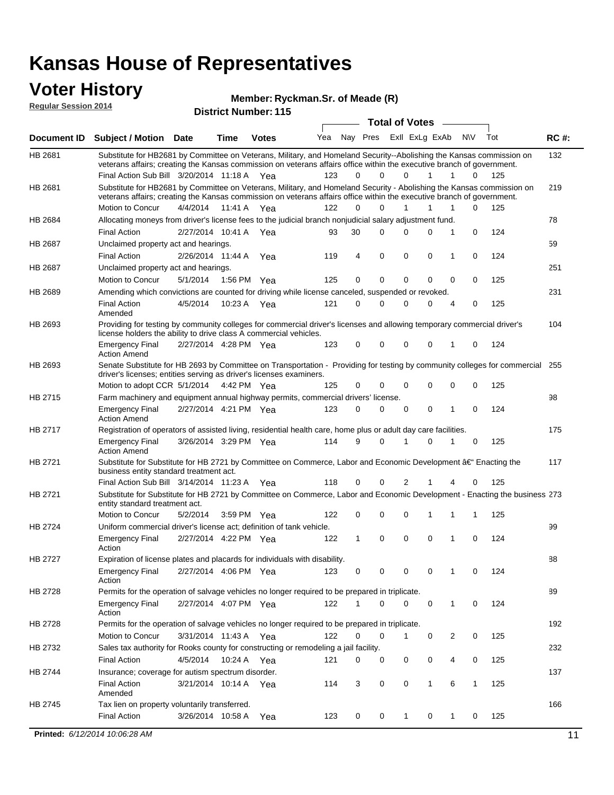#### **Voter History**

**Regular Session 2014**

#### **Ryckman.Sr. of Meade (R)**

| <b>District Number: 115</b> |  |
|-----------------------------|--|
|                             |  |

|                |                                                                                                                                                              |                       |             |              |     |              |          | <b>Total of Votes</b> |              | $\sim$         |             |     |             |
|----------------|--------------------------------------------------------------------------------------------------------------------------------------------------------------|-----------------------|-------------|--------------|-----|--------------|----------|-----------------------|--------------|----------------|-------------|-----|-------------|
|                | Document ID Subject / Motion Date                                                                                                                            |                       | Time        | <b>Votes</b> | Yea | Nay Pres     |          | Exll ExLg ExAb        |              |                | <b>NV</b>   | Tot | <b>RC#:</b> |
| HB 2681        | Substitute for HB2681 by Committee on Veterans, Military, and Homeland Security--Abolishing the Kansas commission on                                         |                       |             |              |     |              |          |                       |              |                |             |     | 132         |
|                | veterans affairs; creating the Kansas commission on veterans affairs office within the executive branch of government.                                       |                       |             |              |     |              |          |                       |              |                |             |     |             |
|                | Final Action Sub Bill 3/20/2014 11:18 A Yea                                                                                                                  |                       |             |              | 123 | 0            | $\Omega$ | $\Omega$              | $\mathbf{1}$ | $\mathbf{1}$   | 0           | 125 |             |
| HB 2681        | Substitute for HB2681 by Committee on Veterans, Military, and Homeland Security - Abolishing the Kansas commission on                                        |                       |             |              |     |              |          |                       |              |                |             |     | 219         |
|                | veterans affairs; creating the Kansas commission on veterans affairs office within the executive branch of government.<br>Motion to Concur                   | 4/4/2014 11:41 A Yea  |             |              | 122 | 0            | 0        |                       | 1            | 1              | 0           | 125 |             |
|                | Allocating moneys from driver's license fees to the judicial branch nonjudicial salary adjustment fund.                                                      |                       |             |              |     |              |          |                       |              |                |             |     | 78          |
| HB 2684        | <b>Final Action</b>                                                                                                                                          |                       |             |              |     | 30           | $\Omega$ | $\Omega$              | $\Omega$     | 1              | 0           | 124 |             |
|                |                                                                                                                                                              | 2/27/2014 10:41 A Yea |             |              | 93  |              |          |                       |              |                |             |     |             |
| HB 2687        | Unclaimed property act and hearings.                                                                                                                         |                       |             |              |     | 4            | 0        | 0                     | 0            | 1              | 0           |     | 59          |
|                | <b>Final Action</b>                                                                                                                                          | 2/26/2014 11:44 A     |             | Yea          | 119 |              |          |                       |              |                |             | 124 |             |
| HB 2687        | Unclaimed property act and hearings.                                                                                                                         |                       |             |              |     |              |          |                       |              |                |             |     | 251         |
|                | Motion to Concur                                                                                                                                             | 5/1/2014              | 1:56 PM Yea |              | 125 | 0            | 0        | 0                     | $\mathbf{0}$ | 0              | 0           | 125 |             |
| <b>HB 2689</b> | Amending which convictions are counted for driving while license canceled, suspended or revoked.                                                             |                       |             |              |     |              |          |                       |              |                |             |     | 231         |
|                | <b>Final Action</b><br>Amended                                                                                                                               | 4/5/2014              | 10:23 A Yea |              | 121 | 0            | 0        | $\Omega$              | 0            | $\overline{4}$ | 0           | 125 |             |
| HB 2693        | Providing for testing by community colleges for commercial driver's licenses and allowing temporary commercial driver's                                      |                       |             |              |     |              |          |                       |              |                |             |     | 104         |
|                | license holders the ability to drive class A commercial vehicles.                                                                                            |                       |             |              |     |              |          |                       |              |                |             |     |             |
|                | <b>Emergency Final</b>                                                                                                                                       | 2/27/2014 4:28 PM Yea |             |              | 123 | 0            | 0        | 0                     | 0            | 1              | 0           | 124 |             |
|                | <b>Action Amend</b>                                                                                                                                          |                       |             |              |     |              |          |                       |              |                |             |     |             |
| HB 2693        | Senate Substitute for HB 2693 by Committee on Transportation - Providing for testing by community colleges for commercial                                    |                       |             |              |     |              |          |                       |              |                |             |     | 255         |
|                | driver's licenses; entities serving as driver's licenses examiners.<br>Motion to adopt CCR 5/1/2014 4:42 PM Yea                                              |                       |             |              | 125 | 0            | 0        | $\Omega$              | 0            | $\mathbf 0$    | 0           | 125 |             |
| HB 2715        | Farm machinery and equipment annual highway permits, commercial drivers' license.                                                                            |                       |             |              |     |              |          |                       |              |                |             |     | 98          |
|                |                                                                                                                                                              | 2/27/2014 4:21 PM Yea |             |              | 123 | 0            | $\Omega$ | $\Omega$              | 0            | 1              | 0           | 124 |             |
|                | <b>Emergency Final</b><br><b>Action Amend</b>                                                                                                                |                       |             |              |     |              |          |                       |              |                |             |     |             |
| HB 2717        | Registration of operators of assisted living, residential health care, home plus or adult day care facilities.                                               |                       |             |              |     |              |          |                       |              |                |             |     | 175         |
|                | <b>Emergency Final</b>                                                                                                                                       | 3/26/2014 3:29 PM Yea |             |              | 114 | 9            | $\Omega$ | 1                     | 0            | 1              | 0           | 125 |             |
|                | <b>Action Amend</b>                                                                                                                                          |                       |             |              |     |              |          |                       |              |                |             |     |             |
| HB 2721        | Substitute for Substitute for HB 2721 by Committee on Commerce, Labor and Economic Development â€ <sup>4</sup> Enacting the                                  |                       |             |              |     |              |          |                       |              |                |             |     | 117         |
|                | business entity standard treatment act.                                                                                                                      |                       |             |              |     |              |          |                       |              |                |             |     |             |
|                | Final Action Sub Bill 3/14/2014 11:23 A Yea                                                                                                                  |                       |             |              | 118 | 0            | 0        | 2                     | 1            | 4              | 0           | 125 |             |
| HB 2721        | Substitute for Substitute for HB 2721 by Committee on Commerce, Labor and Economic Development - Enacting the business 273<br>entity standard treatment act. |                       |             |              |     |              |          |                       |              |                |             |     |             |
|                | Motion to Concur                                                                                                                                             | 5/2/2014              | 3:59 PM Yea |              | 122 | 0            | 0        | 0                     | 1            | 1              | 1           | 125 |             |
| HB 2724        | Uniform commercial driver's license act; definition of tank vehicle.                                                                                         |                       |             |              |     |              |          |                       |              |                |             |     | 99          |
|                | <b>Emergency Final</b>                                                                                                                                       | 2/27/2014 4:22 PM Yea |             |              | 122 | $\mathbf{1}$ | 0        | 0                     | 0            | 1              | $\mathbf 0$ | 124 |             |
|                | Action                                                                                                                                                       |                       |             |              |     |              |          |                       |              |                |             |     |             |
| HB 2727        | Expiration of license plates and placards for individuals with disability.                                                                                   |                       |             |              |     |              |          |                       |              |                |             |     | 88          |
|                | <b>Emergency Final</b>                                                                                                                                       | 2/27/2014 4:06 PM Yea |             |              | 123 | 0            | 0        | 0                     | 0            | $\mathbf{1}$   | 0           | 124 |             |
|                | Action                                                                                                                                                       |                       |             |              |     |              |          |                       |              |                |             |     |             |
| HB 2728        | Permits for the operation of salvage vehicles no longer required to be prepared in triplicate.                                                               |                       |             |              |     |              |          |                       |              |                |             |     | 89          |
|                | <b>Emergency Final</b>                                                                                                                                       | 2/27/2014 4:07 PM Yea |             |              | 122 | 1            | 0        | 0                     | 0            | 1              | 0           | 124 |             |
|                | Action                                                                                                                                                       |                       |             |              |     |              |          |                       |              |                |             |     |             |
| HB 2728        | Permits for the operation of salvage vehicles no longer required to be prepared in triplicate.                                                               |                       |             |              |     | 0            | 0        | 1                     |              |                | 0           |     | 192         |
|                | Motion to Concur                                                                                                                                             | 3/31/2014 11:43 A Yea |             |              | 122 |              |          |                       | 0            | 2              |             | 125 |             |
| HB 2732        | Sales tax authority for Rooks county for constructing or remodeling a jail facility.                                                                         |                       |             |              |     |              |          |                       |              |                |             |     | 232         |
|                | <b>Final Action</b>                                                                                                                                          | 4/5/2014 10:24 A Yea  |             |              | 121 | 0            | 0        | 0                     | 0            | 4              | 0           | 125 |             |
| HB 2744        | Insurance; coverage for autism spectrum disorder.                                                                                                            |                       |             |              |     |              |          |                       |              |                |             |     | 137         |
|                | <b>Final Action</b><br>Amended                                                                                                                               | 3/21/2014 10:14 A Yea |             |              | 114 | 3            | 0        | 0                     | $\mathbf{1}$ | 6              | 1           | 125 |             |
| HB 2745        | Tax lien on property voluntarily transferred.                                                                                                                |                       |             |              |     |              |          |                       |              |                |             |     | 166         |
|                | <b>Final Action</b>                                                                                                                                          | 3/26/2014 10:58 A     |             | Yea          | 123 | 0            | 0        | $\mathbf{1}$          | 0            | $\mathbf{1}$   | 0           | 125 |             |
|                |                                                                                                                                                              |                       |             |              |     |              |          |                       |              |                |             |     |             |
|                | Printed: 6/12/2014 10:06:28 AM                                                                                                                               |                       |             |              |     |              |          |                       |              |                |             |     | 11          |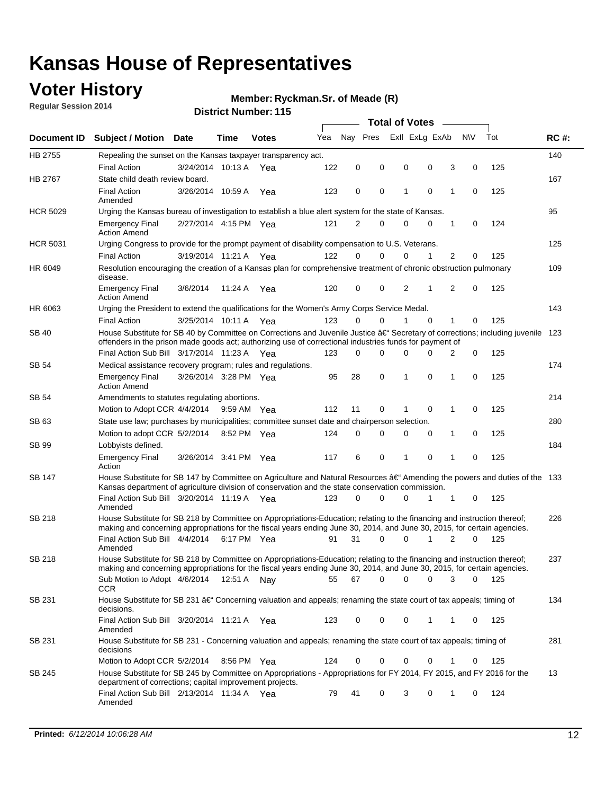## **Voter History**

**Regular Session 2014**

#### **Ryckman.Sr. of Meade (R)**

|                 |                                                                                                                                                                                                                                      |                       |             |              |     |          |             | <b>Total of Votes</b> |                |                |             |     |             |
|-----------------|--------------------------------------------------------------------------------------------------------------------------------------------------------------------------------------------------------------------------------------|-----------------------|-------------|--------------|-----|----------|-------------|-----------------------|----------------|----------------|-------------|-----|-------------|
|                 | Document ID Subject / Motion Date                                                                                                                                                                                                    |                       | Time        | <b>Votes</b> | Yea | Nav Pres |             |                       | Exll ExLg ExAb |                | N\V         | Tot | <b>RC#:</b> |
| HB 2755         | Repealing the sunset on the Kansas taxpayer transparency act.                                                                                                                                                                        |                       |             |              |     |          |             |                       |                |                |             |     | 140         |
|                 | <b>Final Action</b>                                                                                                                                                                                                                  | 3/24/2014 10:13 A     |             | Yea          | 122 | 0        | 0           | 0                     | 0              | 3              | 0           | 125 |             |
| HB 2767         | State child death review board.                                                                                                                                                                                                      |                       |             |              |     |          |             |                       |                |                |             |     | 167         |
|                 | <b>Final Action</b><br>Amended                                                                                                                                                                                                       | 3/26/2014 10:59 A     |             | Yea          | 123 | 0        | 0           | 1                     | $\mathbf 0$    | 1              | 0           | 125 |             |
| <b>HCR 5029</b> | Urging the Kansas bureau of investigation to establish a blue alert system for the state of Kansas.                                                                                                                                  |                       |             |              |     |          |             |                       |                |                |             |     | 95          |
|                 | <b>Emergency Final</b><br><b>Action Amend</b>                                                                                                                                                                                        | 2/27/2014 4:15 PM Yea |             |              | 121 | 2        | 0           | 0                     | 0              | 1              | 0           | 124 |             |
| <b>HCR 5031</b> | Urging Congress to provide for the prompt payment of disability compensation to U.S. Veterans.                                                                                                                                       |                       |             |              |     |          |             |                       |                |                |             |     | 125         |
|                 | <b>Final Action</b>                                                                                                                                                                                                                  | 3/19/2014 11:21 A Yea |             |              | 122 | $\Omega$ | 0           | 0                     | 1              | $\overline{2}$ | 0           | 125 |             |
| HR 6049         | Resolution encouraging the creation of a Kansas plan for comprehensive treatment of chronic obstruction pulmonary<br>disease.                                                                                                        |                       |             |              |     |          |             |                       |                |                |             |     | 109         |
|                 | <b>Emergency Final</b><br><b>Action Amend</b>                                                                                                                                                                                        | 3/6/2014              | 11:24 A     | Yea          | 120 | 0        | 0           | 2                     | 1              | 2              | $\mathbf 0$ | 125 |             |
| HR 6063         | Urging the President to extend the qualifications for the Women's Army Corps Service Medal.                                                                                                                                          |                       |             |              |     |          |             |                       |                |                |             |     | 143         |
|                 | <b>Final Action</b>                                                                                                                                                                                                                  | 3/25/2014 10:11 A Yea |             |              | 123 | $\Omega$ | $\Omega$    | 1                     | $\Omega$       | 1              | 0           | 125 |             |
| <b>SB 40</b>    | House Substitute for SB 40 by Committee on Corrections and Juvenile Justice †Secretary of corrections; including juvenile<br>offenders in the prison made goods act; authorizing use of correctional industries funds for payment of |                       |             |              |     |          |             |                       |                |                |             |     | 123         |
|                 | Final Action Sub Bill 3/17/2014 11:23 A Yea                                                                                                                                                                                          |                       |             |              | 123 | 0        | 0           | 0                     | $\Omega$       | 2              | 0           | 125 |             |
| SB 54           | Medical assistance recovery program; rules and regulations.                                                                                                                                                                          |                       |             |              |     |          |             |                       |                |                |             |     | 174         |
|                 | <b>Emergency Final</b><br><b>Action Amend</b>                                                                                                                                                                                        | 3/26/2014 3:28 PM Yea |             |              | 95  | 28       | $\mathbf 0$ | 1                     | 0              | $\mathbf{1}$   | 0           | 125 |             |
| SB 54           | Amendments to statutes regulating abortions.                                                                                                                                                                                         |                       |             |              |     |          |             |                       |                |                |             |     | 214         |
|                 | Motion to Adopt CCR 4/4/2014                                                                                                                                                                                                         |                       | 9:59 AM Yea |              | 112 | 11       | 0           |                       | $\mathbf 0$    | 1              | 0           | 125 |             |
| SB 63           | State use law; purchases by municipalities; committee sunset date and chairperson selection.                                                                                                                                         |                       |             |              |     |          |             |                       |                |                |             |     | 280         |
|                 | Motion to adopt CCR 5/2/2014                                                                                                                                                                                                         |                       | 8:52 PM Yea |              | 124 | 0        | 0           | 0                     | 0              | 1              | 0           | 125 |             |
| SB 99           | Lobbyists defined.                                                                                                                                                                                                                   |                       |             |              |     |          |             |                       |                |                |             |     | 184         |
|                 | <b>Emergency Final</b><br>Action                                                                                                                                                                                                     | 3/26/2014 3:41 PM Yea |             |              | 117 | 6        | 0           | 1                     | $\mathbf 0$    | 1              | 0           | 125 |             |
| SB 147          | House Substitute for SB 147 by Committee on Agriculture and Natural Resources †Amending the powers and duties of the 133<br>Kansas department of agriculture division of conservation and the state conservation commission.         |                       |             |              |     |          |             |                       |                |                |             |     |             |
|                 | Final Action Sub Bill 3/20/2014 11:19 A Yea<br>Amended                                                                                                                                                                               |                       |             |              | 123 | 0        | 0           | 0                     | 1              | 1              | 0           | 125 |             |
| <b>SB 218</b>   | House Substitute for SB 218 by Committee on Appropriations-Education; relating to the financing and instruction thereof;                                                                                                             |                       |             |              |     |          |             |                       |                |                |             |     | 226         |
|                 | making and concerning appropriations for the fiscal years ending June 30, 2014, and June 30, 2015, for certain agencies.<br>Final Action Sub Bill 4/4/2014                                                                           |                       | 6:17 PM Yea |              | 91  | 31       | $\Omega$    | 0                     | 1              | 2              | $\Omega$    | 125 |             |
|                 | Amended                                                                                                                                                                                                                              |                       |             |              |     |          |             |                       |                |                |             |     |             |
| <b>SB 218</b>   | House Substitute for SB 218 by Committee on Appropriations-Education; relating to the financing and instruction thereof;                                                                                                             |                       |             |              |     |          |             |                       |                |                |             |     | 237         |
|                 | making and concerning appropriations for the fiscal years ending June 30, 2014, and June 30, 2015, for certain agencies.                                                                                                             |                       |             |              |     |          |             |                       |                |                |             |     |             |
|                 | Sub Motion to Adopt 4/6/2014 12:51 A Nay<br>CCR                                                                                                                                                                                      |                       |             |              | 55  | 67       | 0           | 0                     | 0              | 3              | 0           | 125 |             |
| SB 231          | House Substitute for SB 231 †Concerning valuation and appeals; renaming the state court of tax appeals; timing of<br>decisions.                                                                                                      |                       |             |              |     |          |             |                       |                |                |             |     | 134         |
|                 | Final Action Sub Bill 3/20/2014 11:21 A Yea<br>Amended                                                                                                                                                                               |                       |             |              | 123 | 0        | 0           | 0                     | 1              | 1              | 0           | 125 |             |
| SB 231          | House Substitute for SB 231 - Concerning valuation and appeals; renaming the state court of tax appeals; timing of<br>decisions                                                                                                      |                       |             |              |     |          |             |                       |                |                |             |     | 281         |
|                 | Motion to Adopt CCR 5/2/2014                                                                                                                                                                                                         |                       | 8:56 PM Yea |              | 124 | 0        | 0           | 0                     | 0              | 1              | 0           | 125 |             |
| SB 245          | House Substitute for SB 245 by Committee on Appropriations - Appropriations for FY 2014, FY 2015, and FY 2016 for the<br>department of corrections; capital improvement projects.                                                    |                       |             |              |     |          |             |                       |                |                |             |     | 13          |
|                 | Final Action Sub Bill 2/13/2014 11:34 A Yea<br>Amended                                                                                                                                                                               |                       |             |              | 79  | 41       | 0           | 3                     | 0              | 1              | 0           | 124 |             |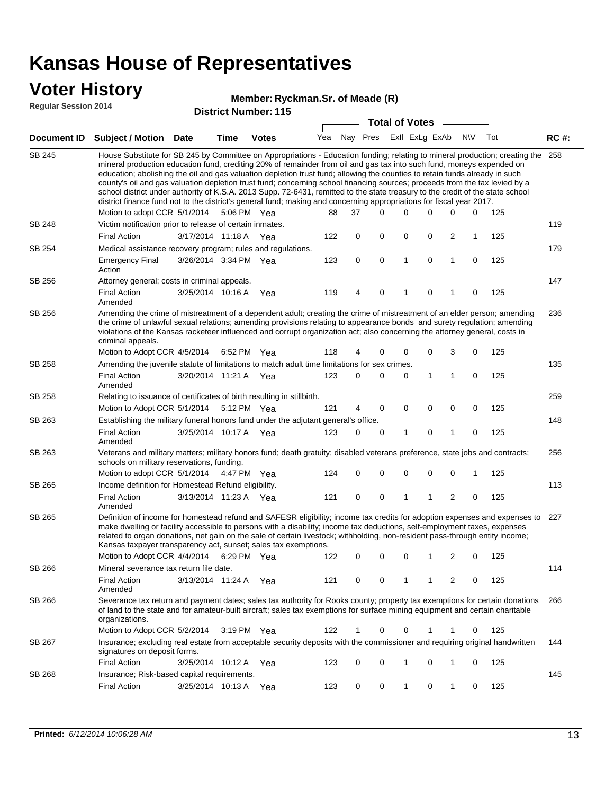### **Voter History**

#### **Ryckman.Sr. of Meade (R)**

**Regular Session 2014**

|               |                                                                                                                                                                                                                                                                                                                                                                                                                                                                                                                                                                                                                                                                                                                                                                                                                   |                       |             | <b>DISUILLINUIIINGI. I IJ</b> |     |    |          | <b>Total of Votes</b> |                             |              |             |     |             |
|---------------|-------------------------------------------------------------------------------------------------------------------------------------------------------------------------------------------------------------------------------------------------------------------------------------------------------------------------------------------------------------------------------------------------------------------------------------------------------------------------------------------------------------------------------------------------------------------------------------------------------------------------------------------------------------------------------------------------------------------------------------------------------------------------------------------------------------------|-----------------------|-------------|-------------------------------|-----|----|----------|-----------------------|-----------------------------|--------------|-------------|-----|-------------|
|               | Document ID Subject / Motion Date                                                                                                                                                                                                                                                                                                                                                                                                                                                                                                                                                                                                                                                                                                                                                                                 |                       | <b>Time</b> | <b>Votes</b>                  |     |    |          |                       | Yea Nay Pres ExII ExLg ExAb |              | N\V         | Tot | <b>RC#:</b> |
| <b>SB 245</b> | House Substitute for SB 245 by Committee on Appropriations - Education funding; relating to mineral production; creating the 258<br>mineral production education fund, crediting 20% of remainder from oil and gas tax into such fund, moneys expended on<br>education; abolishing the oil and gas valuation depletion trust fund; allowing the counties to retain funds already in such<br>county's oil and gas valuation depletion trust fund; concerning school financing sources; proceeds from the tax levied by a<br>school district under authority of K.S.A. 2013 Supp. 72-6431, remitted to the state treasury to the credit of the state school<br>district finance fund not to the district's general fund; making and concerning appropriations for fiscal year 2017.<br>Motion to adopt CCR 5/1/2014 |                       | 5:06 PM Yea |                               | 88  | 37 | $\Omega$ | $\Omega$              | $\Omega$                    | 0            | 0           | 125 |             |
| <b>SB 248</b> | Victim notification prior to release of certain inmates.                                                                                                                                                                                                                                                                                                                                                                                                                                                                                                                                                                                                                                                                                                                                                          |                       |             |                               |     |    |          |                       |                             |              |             |     | 119         |
|               | <b>Final Action</b>                                                                                                                                                                                                                                                                                                                                                                                                                                                                                                                                                                                                                                                                                                                                                                                               | 3/17/2014 11:18 A     |             | Yea                           | 122 | 0  | 0        | 0                     | 0                           | 2            | 1           | 125 |             |
| SB 254        | Medical assistance recovery program; rules and regulations.                                                                                                                                                                                                                                                                                                                                                                                                                                                                                                                                                                                                                                                                                                                                                       |                       |             |                               |     |    |          |                       |                             |              |             |     | 179         |
|               | <b>Emergency Final</b><br>Action                                                                                                                                                                                                                                                                                                                                                                                                                                                                                                                                                                                                                                                                                                                                                                                  | 3/26/2014 3:34 PM Yea |             |                               | 123 | 0  | 0        | 1                     | $\mathbf 0$                 | 1            | $\mathbf 0$ | 125 |             |
| SB 256        | Attorney general; costs in criminal appeals.                                                                                                                                                                                                                                                                                                                                                                                                                                                                                                                                                                                                                                                                                                                                                                      |                       |             |                               |     |    |          |                       |                             |              |             |     | 147         |
|               | <b>Final Action</b><br>Amended                                                                                                                                                                                                                                                                                                                                                                                                                                                                                                                                                                                                                                                                                                                                                                                    | 3/25/2014 10:16 A     |             | Yea                           | 119 | 4  | 0        | 1                     | $\mathbf 0$                 | 1            | 0           | 125 |             |
| SB 256        | Amending the crime of mistreatment of a dependent adult; creating the crime of mistreatment of an elder person; amending<br>the crime of unlawful sexual relations; amending provisions relating to appearance bonds and surety regulation; amending<br>violations of the Kansas racketeer influenced and corrupt organization act; also concerning the attorney general, costs in<br>criminal appeals.                                                                                                                                                                                                                                                                                                                                                                                                           |                       |             |                               |     |    |          |                       |                             |              |             |     | 236         |
|               | Motion to Adopt CCR 4/5/2014                                                                                                                                                                                                                                                                                                                                                                                                                                                                                                                                                                                                                                                                                                                                                                                      |                       | 6:52 PM Yea |                               | 118 | 4  | 0        | 0                     | 0                           | 3            | 0           | 125 |             |
| <b>SB 258</b> | Amending the juvenile statute of limitations to match adult time limitations for sex crimes.                                                                                                                                                                                                                                                                                                                                                                                                                                                                                                                                                                                                                                                                                                                      |                       |             |                               |     |    |          |                       |                             |              |             |     | 135         |
|               | <b>Final Action</b><br>Amended                                                                                                                                                                                                                                                                                                                                                                                                                                                                                                                                                                                                                                                                                                                                                                                    | 3/20/2014 11:21 A Yea |             |                               | 123 | 0  | 0        | 0                     | 1                           | $\mathbf{1}$ | 0           | 125 |             |
| SB 258        | Relating to issuance of certificates of birth resulting in stillbirth.                                                                                                                                                                                                                                                                                                                                                                                                                                                                                                                                                                                                                                                                                                                                            |                       |             |                               |     |    |          |                       |                             |              |             |     | 259         |
|               | Motion to Adopt CCR 5/1/2014                                                                                                                                                                                                                                                                                                                                                                                                                                                                                                                                                                                                                                                                                                                                                                                      |                       | 5:12 PM Yea |                               | 121 | 4  | 0        | 0                     | $\mathbf 0$                 | 0            | 0           | 125 |             |
| SB 263        | Establishing the military funeral honors fund under the adjutant general's office.                                                                                                                                                                                                                                                                                                                                                                                                                                                                                                                                                                                                                                                                                                                                |                       |             |                               |     |    |          |                       |                             |              |             |     | 148         |
|               | <b>Final Action</b><br>Amended                                                                                                                                                                                                                                                                                                                                                                                                                                                                                                                                                                                                                                                                                                                                                                                    | 3/25/2014 10:17 A Yea |             |                               | 123 | 0  | 0        | 1                     | 0                           | 1            | 0           | 125 |             |
| SB 263        | Veterans and military matters; military honors fund; death gratuity; disabled veterans preference, state jobs and contracts;<br>schools on military reservations, funding.                                                                                                                                                                                                                                                                                                                                                                                                                                                                                                                                                                                                                                        |                       |             |                               |     |    |          |                       |                             |              |             |     | 256         |
|               | Motion to adopt CCR 5/1/2014 4:47 PM Yea                                                                                                                                                                                                                                                                                                                                                                                                                                                                                                                                                                                                                                                                                                                                                                          |                       |             |                               | 124 | 0  | 0        | 0                     | 0                           | 0            | 1           | 125 |             |
| SB 265        | Income definition for Homestead Refund eligibility.                                                                                                                                                                                                                                                                                                                                                                                                                                                                                                                                                                                                                                                                                                                                                               |                       |             |                               |     |    |          |                       |                             |              |             |     | 113         |
|               | <b>Final Action</b><br>Amended                                                                                                                                                                                                                                                                                                                                                                                                                                                                                                                                                                                                                                                                                                                                                                                    | 3/13/2014 11:23 A Yea |             |                               | 121 | 0  | 0        | 1                     | 1                           | 2            | 0           | 125 |             |
| SB 265        | Definition of income for homestead refund and SAFESR eligibility; income tax credits for adoption expenses and expenses to<br>make dwelling or facility accessible to persons with a disability; income tax deductions, self-employment taxes, expenses<br>related to organ donations, net gain on the sale of certain livestock; withholding, non-resident pass-through entity income;<br>Kansas taxpayer transparency act, sunset; sales tax exemptions.<br>Motion to Adopt CCR 4/4/2014 6:29 PM Yea                                                                                                                                                                                                                                                                                                            |                       |             |                               | 122 | 0  | 0        | 0                     | 1                           | 2            | 0           | 125 | 227         |
| SB 266        | Mineral severance tax return file date.                                                                                                                                                                                                                                                                                                                                                                                                                                                                                                                                                                                                                                                                                                                                                                           |                       |             |                               |     |    |          |                       |                             |              |             |     | 114         |
|               | <b>Final Action</b><br>Amended                                                                                                                                                                                                                                                                                                                                                                                                                                                                                                                                                                                                                                                                                                                                                                                    | 3/13/2014 11:24 A     |             | Yea                           | 121 | 0  | 0        | 1                     | 1                           | 2            | 0           | 125 |             |
| SB 266        | Severance tax return and payment dates; sales tax authority for Rooks county; property tax exemptions for certain donations<br>of land to the state and for amateur-built aircraft; sales tax exemptions for surface mining equipment and certain charitable<br>organizations.                                                                                                                                                                                                                                                                                                                                                                                                                                                                                                                                    |                       |             |                               |     |    |          |                       |                             |              |             |     | 266         |
|               | Motion to Adopt CCR 5/2/2014                                                                                                                                                                                                                                                                                                                                                                                                                                                                                                                                                                                                                                                                                                                                                                                      |                       | 3:19 PM Yea |                               | 122 | 1  | 0        | 0                     |                             |              | 0           | 125 |             |
| SB 267        | Insurance; excluding real estate from acceptable security deposits with the commissioner and requiring original handwritten<br>signatures on deposit forms.                                                                                                                                                                                                                                                                                                                                                                                                                                                                                                                                                                                                                                                       |                       |             |                               |     |    |          |                       |                             |              |             |     | 144         |
|               | <b>Final Action</b>                                                                                                                                                                                                                                                                                                                                                                                                                                                                                                                                                                                                                                                                                                                                                                                               | 3/25/2014 10:12 A Yea |             |                               | 123 | 0  | 0        | 1                     | 0                           | 1            | 0           | 125 |             |
| SB 268        | Insurance; Risk-based capital requirements.                                                                                                                                                                                                                                                                                                                                                                                                                                                                                                                                                                                                                                                                                                                                                                       |                       |             |                               |     |    |          |                       |                             |              |             |     | 145         |
|               | <b>Final Action</b>                                                                                                                                                                                                                                                                                                                                                                                                                                                                                                                                                                                                                                                                                                                                                                                               | 3/25/2014 10:13 A     |             | Yea                           | 123 | 0  | 0        | 1                     | 0                           | 1            | 0           | 125 |             |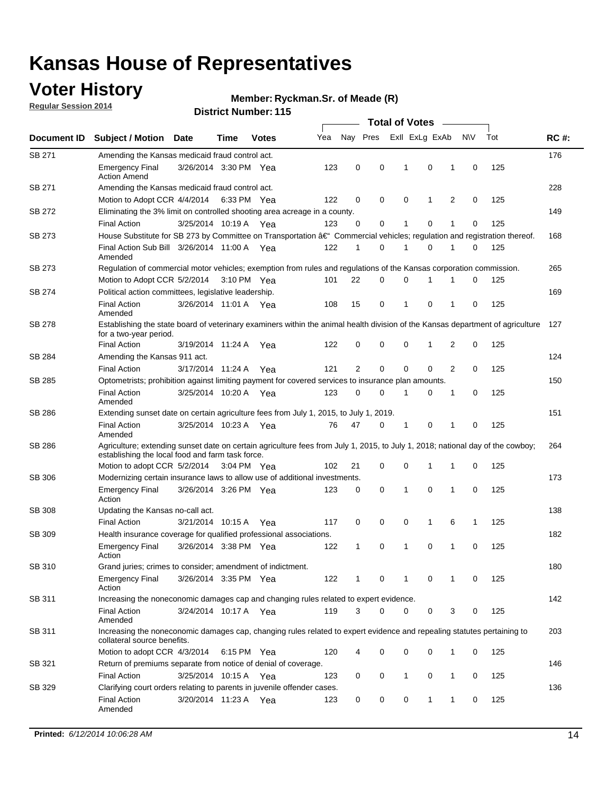### **Voter History**

**Regular Session 2014**

#### **Ryckman.Sr. of Meade (R)**

|               |                                                                                                                                                                                    |                       |      |              |     |    |          | <b>Total of Votes</b> |             |                |             |     |             |
|---------------|------------------------------------------------------------------------------------------------------------------------------------------------------------------------------------|-----------------------|------|--------------|-----|----|----------|-----------------------|-------------|----------------|-------------|-----|-------------|
| Document ID   | <b>Subject / Motion Date</b>                                                                                                                                                       |                       | Time | <b>Votes</b> | Yea |    | Nay Pres | Exll ExLg ExAb        |             |                | <b>NV</b>   | Tot | <b>RC#:</b> |
| SB 271        | Amending the Kansas medicaid fraud control act.                                                                                                                                    |                       |      |              |     |    |          |                       |             |                |             |     | 176         |
|               | <b>Emergency Final</b><br><b>Action Amend</b>                                                                                                                                      | 3/26/2014 3:30 PM Yea |      |              | 123 | 0  | 0        | 1                     | 0           | 1              | 0           | 125 |             |
| SB 271        | Amending the Kansas medicaid fraud control act.                                                                                                                                    |                       |      |              |     |    |          |                       |             |                |             |     | 228         |
|               | Motion to Adopt CCR 4/4/2014 6:33 PM Yea                                                                                                                                           |                       |      |              | 122 | 0  | 0        | 0                     | 1           | 2              | 0           | 125 |             |
| SB 272        | Eliminating the 3% limit on controlled shooting area acreage in a county.                                                                                                          |                       |      |              |     |    |          |                       |             |                |             |     | 149         |
|               | <b>Final Action</b>                                                                                                                                                                | 3/25/2014 10:19 A Yea |      |              | 123 | 0  | 0        | 1                     | 0           | 1              | 0           | 125 |             |
| SB 273        | House Substitute for SB 273 by Committee on Transportation †Commercial vehicles; regulation and registration thereof.                                                              |                       |      |              |     |    |          |                       |             |                |             |     | 168         |
|               | Final Action Sub Bill 3/26/2014 11:00 A Yea<br>Amended                                                                                                                             |                       |      |              | 122 | 1  | 0        | -1                    | 0           | 1              | 0           | 125 |             |
| SB 273        | Regulation of commercial motor vehicles; exemption from rules and regulations of the Kansas corporation commission.                                                                |                       |      |              |     |    |          |                       |             |                |             |     | 265         |
|               | Motion to Adopt CCR 5/2/2014 3:10 PM Yea                                                                                                                                           |                       |      |              | 101 | 22 | 0        | 0                     | 1           | 1              | 0           | 125 |             |
| SB 274        | Political action committees, legislative leadership.                                                                                                                               |                       |      |              |     |    |          |                       |             |                |             |     | 169         |
|               | <b>Final Action</b><br>Amended                                                                                                                                                     | 3/26/2014 11:01 A Yea |      |              | 108 | 15 | 0        | -1                    | 0           | 1              | 0           | 125 |             |
| SB 278        | Establishing the state board of veterinary examiners within the animal health division of the Kansas department of agriculture<br>for a two-year period.                           |                       |      |              |     |    |          |                       |             |                |             |     | 127         |
|               | <b>Final Action</b>                                                                                                                                                                | 3/19/2014 11:24 A     |      | Yea          | 122 | 0  | 0        | 0                     | 1           | 2              | 0           | 125 |             |
| SB 284        | Amending the Kansas 911 act.                                                                                                                                                       |                       |      |              |     |    |          |                       |             |                |             |     | 124         |
|               | <b>Final Action</b>                                                                                                                                                                | 3/17/2014 11:24 A     |      | Yea          | 121 | 2  | 0        | 0                     | $\mathbf 0$ | $\overline{2}$ | 0           | 125 |             |
| SB 285        | Optometrists; prohibition against limiting payment for covered services to insurance plan amounts.                                                                                 |                       |      |              |     |    |          |                       |             |                |             |     | 150         |
|               | <b>Final Action</b><br>Amended                                                                                                                                                     | 3/25/2014 10:20 A Yea |      |              | 123 | 0  | 0        | $\mathbf 1$           | 0           | 1              | 0           | 125 |             |
| SB 286        | Extending sunset date on certain agriculture fees from July 1, 2015, to July 1, 2019.                                                                                              |                       |      |              |     |    |          |                       |             |                |             |     | 151         |
|               | <b>Final Action</b><br>Amended                                                                                                                                                     | 3/25/2014 10:23 A Yea |      |              | 76  | 47 | 0        | $\mathbf{1}$          | 0           | 1              | $\mathbf 0$ | 125 |             |
| SB 286        | Agriculture; extending sunset date on certain agriculture fees from July 1, 2015, to July 1, 2018; national day of the cowboy;<br>establishing the local food and farm task force. |                       |      |              |     |    |          |                       |             |                |             |     | 264         |
|               | Motion to adopt CCR 5/2/2014 3:04 PM Yea                                                                                                                                           |                       |      |              | 102 | 21 | 0        | 0                     | $\mathbf 1$ | 1              | 0           | 125 |             |
| SB 306        | Modernizing certain insurance laws to allow use of additional investments.                                                                                                         |                       |      |              |     |    |          |                       |             |                |             |     | 173         |
|               | <b>Emergency Final</b><br>Action                                                                                                                                                   | 3/26/2014 3:26 PM Yea |      |              | 123 | 0  | 0        | 1                     | 0           | 1              | 0           | 125 |             |
| <b>SB 308</b> | Updating the Kansas no-call act.                                                                                                                                                   |                       |      |              |     |    |          |                       |             |                |             |     | 138         |
|               | <b>Final Action</b>                                                                                                                                                                | 3/21/2014 10:15 A     |      | Yea          | 117 | 0  | 0        | 0                     | 1           | 6              | 1           | 125 |             |
| SB 309        | Health insurance coverage for qualified professional associations.                                                                                                                 |                       |      |              |     |    |          |                       |             |                |             |     | 182         |
|               | <b>Emergency Final</b><br>Action                                                                                                                                                   | 3/26/2014 3:38 PM Yea |      |              | 122 | 1  | 0        | $\mathbf{1}$          | 0           | 1              | $\mathbf 0$ | 125 |             |
| SB 310        | Grand juries; crimes to consider; amendment of indictment.                                                                                                                         |                       |      |              |     |    |          |                       |             |                |             |     | 180         |
|               | <b>Emergency Final</b><br>Action                                                                                                                                                   | 3/26/2014 3:35 PM Yea |      |              | 122 | 1  | 0        | 1                     | 0           | 1              | 0           | 125 |             |
| SB 311        | Increasing the noneconomic damages cap and changing rules related to expert evidence.                                                                                              |                       |      |              |     |    |          |                       |             |                |             |     | 142         |
|               | <b>Final Action</b><br>Amended                                                                                                                                                     | 3/24/2014 10:17 A Yea |      |              | 119 | 3  | 0        | 0                     | 0           | 3              | 0           | 125 |             |
| SB 311        | Increasing the noneconomic damages cap, changing rules related to expert evidence and repealing statutes pertaining to<br>collateral source benefits.                              |                       |      |              |     |    |          |                       |             |                |             |     | 203         |
|               | Motion to adopt CCR 4/3/2014 6:15 PM Yea                                                                                                                                           |                       |      |              | 120 | 4  | 0        | 0                     | 0           | 1              | 0           | 125 |             |
| SB 321        | Return of premiums separate from notice of denial of coverage.                                                                                                                     |                       |      |              |     |    |          |                       |             |                |             |     | 146         |
|               | <b>Final Action</b>                                                                                                                                                                | 3/25/2014 10:15 A Yea |      |              | 123 | 0  | 0        | 1                     | 0           | 1              | 0           | 125 |             |
| SB 329        | Clarifying court orders relating to parents in juvenile offender cases.<br><b>Final Action</b><br>Amended                                                                          | 3/20/2014 11:23 A Yea |      |              | 123 | 0  | 0        | 0                     | 1           | 1              | 0           | 125 | 136         |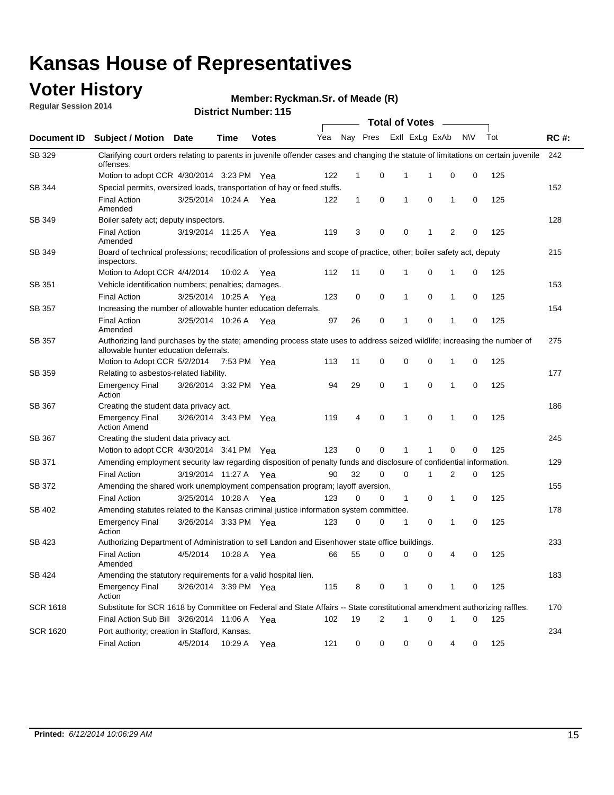### **Voter History**

**Regular Session 2014**

**Ryckman.Sr. of Meade (R)**

|                 |                                                                                                                                                                    |                       |             |              |     |              |   | <b>Total of Votes</b>   |             |              |           |     |             |
|-----------------|--------------------------------------------------------------------------------------------------------------------------------------------------------------------|-----------------------|-------------|--------------|-----|--------------|---|-------------------------|-------------|--------------|-----------|-----|-------------|
| Document ID     | <b>Subject / Motion Date</b>                                                                                                                                       |                       | Time        | <b>Votes</b> | Yea |              |   | Nay Pres ExII ExLg ExAb |             |              | <b>NV</b> | Tot | <b>RC#:</b> |
| SB 329          | Clarifying court orders relating to parents in juvenile offender cases and changing the statute of limitations on certain juvenile<br>offenses.                    |                       |             |              |     |              |   |                         |             |              |           |     | 242         |
|                 | Motion to adopt CCR 4/30/2014 3:23 PM Yea                                                                                                                          |                       |             |              | 122 | $\mathbf 1$  | 0 | 1                       | -1          | $\mathbf 0$  | 0         | 125 |             |
| SB 344          | Special permits, oversized loads, transportation of hay or feed stuffs.                                                                                            |                       |             |              |     |              |   |                         |             |              |           |     | 152         |
|                 | <b>Final Action</b><br>Amended                                                                                                                                     | 3/25/2014 10:24 A     |             | Yea          | 122 | $\mathbf{1}$ | 0 | $\mathbf{1}$            | $\mathbf 0$ | $\mathbf{1}$ | 0         | 125 |             |
| SB 349          | Boiler safety act; deputy inspectors.                                                                                                                              |                       |             |              |     |              |   |                         |             |              |           |     | 128         |
|                 | <b>Final Action</b><br>Amended                                                                                                                                     | 3/19/2014 11:25 A     |             | Yea          | 119 | 3            | 0 | 0                       | 1           | 2            | 0         | 125 |             |
| <b>SB 349</b>   | Board of technical professions; recodification of professions and scope of practice, other; boiler safety act, deputy<br>inspectors.                               |                       |             |              |     |              |   |                         |             |              |           |     | 215         |
|                 | Motion to Adopt CCR 4/4/2014                                                                                                                                       |                       | 10:02 A     | Yea          | 112 | 11           | 0 | 1                       | 0           | 1            | 0         | 125 |             |
| SB 351          | Vehicle identification numbers; penalties; damages.                                                                                                                |                       |             |              |     |              |   |                         |             |              |           |     | 153         |
|                 | <b>Final Action</b>                                                                                                                                                | 3/25/2014 10:25 A     |             | Yea          | 123 | 0            | 0 | $\mathbf{1}$            | 0           | 1            | 0         | 125 |             |
| <b>SB 357</b>   | Increasing the number of allowable hunter education deferrals.                                                                                                     |                       |             |              |     |              |   |                         |             |              |           |     | 154         |
|                 | <b>Final Action</b><br>Amended                                                                                                                                     | 3/25/2014 10:26 A     |             | Yea          | 97  | 26           | 0 | 1                       | 0           | 1            | 0         | 125 |             |
| SB 357          | Authorizing land purchases by the state; amending process state uses to address seized wildlife; increasing the number of<br>allowable hunter education deferrals. |                       |             |              |     |              |   |                         |             |              |           |     | 275         |
|                 | Motion to Adopt CCR 5/2/2014                                                                                                                                       |                       | 7:53 PM Yea |              | 113 | 11           | 0 | 0                       | 0           | 1            | 0         | 125 |             |
| SB 359          | Relating to asbestos-related liability.                                                                                                                            |                       |             |              |     |              |   |                         |             |              |           |     | 177         |
|                 | <b>Emergency Final</b><br>Action                                                                                                                                   | 3/26/2014 3:32 PM Yea |             |              | 94  | 29           | 0 | $\mathbf{1}$            | 0           | 1            | 0         | 125 |             |
| SB 367          | Creating the student data privacy act.                                                                                                                             |                       |             |              |     |              |   |                         |             |              |           |     | 186         |
|                 | <b>Emergency Final</b><br><b>Action Amend</b>                                                                                                                      | 3/26/2014 3:43 PM Yea |             |              | 119 | 4            | 0 | 1                       | 0           | 1            | 0         | 125 |             |
| <b>SB 367</b>   | Creating the student data privacy act.                                                                                                                             |                       |             |              |     |              |   |                         |             |              |           |     | 245         |
|                 | Motion to adopt CCR 4/30/2014 3:41 PM Yea                                                                                                                          |                       |             |              | 123 | 0            | 0 | 1                       | 1           | 0            | 0         | 125 |             |
| SB 371          | Amending employment security law regarding disposition of penalty funds and disclosure of confidential information.                                                |                       |             |              |     |              |   |                         |             |              |           |     | 129         |
|                 | <b>Final Action</b>                                                                                                                                                | 3/19/2014 11:27 A Yea |             |              | 90  | 32           | 0 | $\mathbf 0$             | 1           | 2            | 0         | 125 |             |
| SB 372          | Amending the shared work unemployment compensation program; layoff aversion.                                                                                       |                       |             |              |     |              |   |                         |             |              |           |     | 155         |
|                 | <b>Final Action</b>                                                                                                                                                | 3/25/2014 10:28 A     |             | Yea          | 123 | 0            | 0 | $\mathbf{1}$            | 0           | 1            | 0         | 125 |             |
| SB 402          | Amending statutes related to the Kansas criminal justice information system committee.                                                                             |                       |             |              |     |              |   |                         |             |              |           |     | 178         |
|                 | <b>Emergency Final</b><br>Action                                                                                                                                   | 3/26/2014 3:33 PM Yea |             |              | 123 | 0            | 0 | 1                       | 0           | 1            | 0         | 125 |             |
| SB 423          | Authorizing Department of Administration to sell Landon and Eisenhower state office buildings.                                                                     |                       |             |              |     |              |   |                         |             |              |           |     | 233         |
|                 | <b>Final Action</b><br>Amended                                                                                                                                     | 4/5/2014              | 10:28 A     | Yea          | 66  | 55           | 0 | 0                       | 0           | 4            | 0         | 125 |             |
| SB 424          | Amending the statutory requirements for a valid hospital lien.                                                                                                     |                       |             |              |     |              |   |                         |             |              |           |     | 183         |
|                 | <b>Emergency Final</b><br>Action                                                                                                                                   | 3/26/2014 3:39 PM Yea |             |              | 115 | 8            | 0 | 1                       | 0           | 1            | 0         | 125 |             |
| <b>SCR 1618</b> | Substitute for SCR 1618 by Committee on Federal and State Affairs -- State constitutional amendment authorizing raffles.                                           |                       |             |              |     |              |   |                         |             |              |           |     | 170         |
|                 | Final Action Sub Bill 3/26/2014 11:06 A Yea                                                                                                                        |                       |             |              | 102 | 19           | 2 | 1                       | 0           | 1            | 0         | 125 |             |
| <b>SCR 1620</b> | Port authority; creation in Stafford, Kansas.                                                                                                                      |                       |             |              |     |              |   |                         |             |              |           |     | 234         |
|                 | <b>Final Action</b>                                                                                                                                                | 4/5/2014              | 10:29 A Yea |              | 121 | 0            | 0 | 0                       | 0           | 4            | 0         | 125 |             |